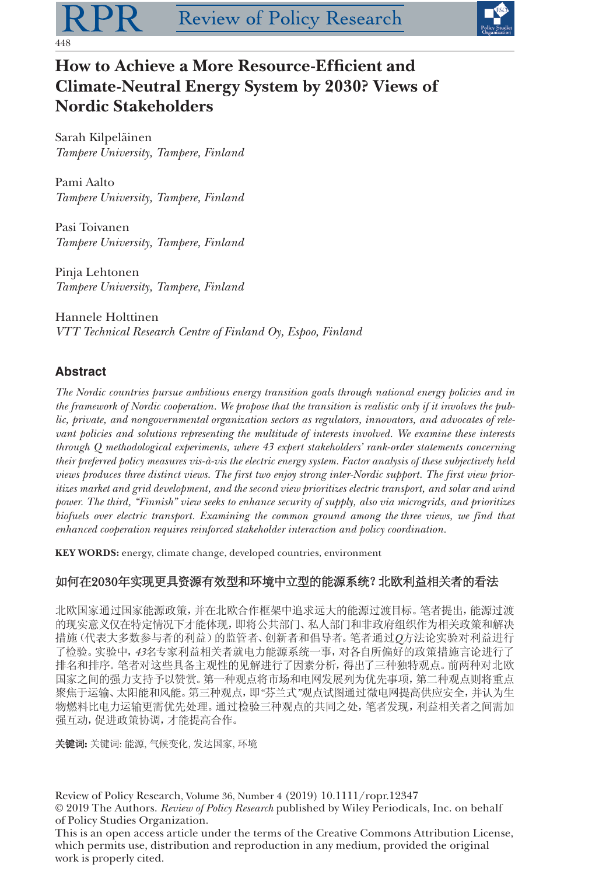



# **How to Achieve a More Resource-Efficient and Climate-Neutral Energy System by 2030? Views of Nordic Stakeholders**

Sarah Kilpeläinen *Tampere University, Tampere, Finland*

Pami Aalto *Tampere University, Tampere, Finland*

Pasi Toivanen *Tampere University, Tampere, Finland*

Pinja Lehtonen *Tampere University, Tampere, Finland*

Hannele Holttinen *VTT Technical Research Centre of Finland Oy, Espoo, Finland*

# **Abstract**

*The Nordic countries pursue ambitious energy transition goals through national energy policies and in the framework of Nordic cooperation. We propose that the transition is realistic only if it involves the public, private, and nongovernmental organization sectors as regulators, innovators, and advocates of relevant policies and solutions representing the multitude of interests involved. We examine these interests through Q methodological experiments, where 43 expert stakeholders' rank-order statements concerning their preferred policy measures vis-à-vis the electric energy system. Factor analysis of these subjectively held views produces three distinct views. The first two enjoy strong inter-Nordic support. The first view prioritizes market and grid development, and the second view prioritizes electric transport, and solar and wind power. The third, "Finnish" view seeks to enhance security of supply, also via microgrids, and prioritizes biofuels over electric transport. Examining the common ground among the three views, we find that enhanced cooperation requires reinforced stakeholder interaction and policy coordination.*

**KEY WORDS:** energy, climate change, developed countries, environment

# 如何在2030年实现更具资源有效型和环境中立型的能源系统?北欧利益相关者的看法

北欧国家通过国家能源政策,并在北欧合作框架中追求远大的能源过渡目标。笔者提出,能源过渡 的现实意义仅在特定情况下才能体现,即将公共部门、私人部门和非政府组织作为相关政策和解决 措施(代表大多数参与者的利益)的监管者、创新者和倡导者。笔者通过*Q*方法论实验对利益进行 了检验。实验中,*43*名专家利益相关者就电力能源系统一事,对各自所偏好的政策措施言论进行了 排名和排序。笔者对这些具备主观性的见解进行了因素分析,得出了三种独特观点。前两种对北欧 国家之间的强力支持予以赞赏。第一种观点将市场和电网发展列为优先事项,第二种观点则将重点 聚焦于运输、太阳能和风能。第三种观点,即*"*芬兰式*"*观点试图通过微电网提高供应安全,并认为生 物燃料比电力运输更需优先处理。通过检验三种观点的共同之处,笔者发现,利益相关者之间需加 强互动,促进政策协调,才能提高合作。

关键词**:** 关键词: 能源, 气候变化, 发达国家, 环境

Review of Policy Research, Volume 36, Number 4 (2019) 10.1111/ropr.12347 © 2019 The Authors. *Review of Policy Research* published by Wiley Periodicals, Inc. on behalf of Policy Studies Organization.

This is an open access article under the terms of the [Creative Commons Attribution](http://creativecommons.org/licenses/by/4.0/) License, which permits use, distribution and reproduction in any medium, provided the original work is properly cited.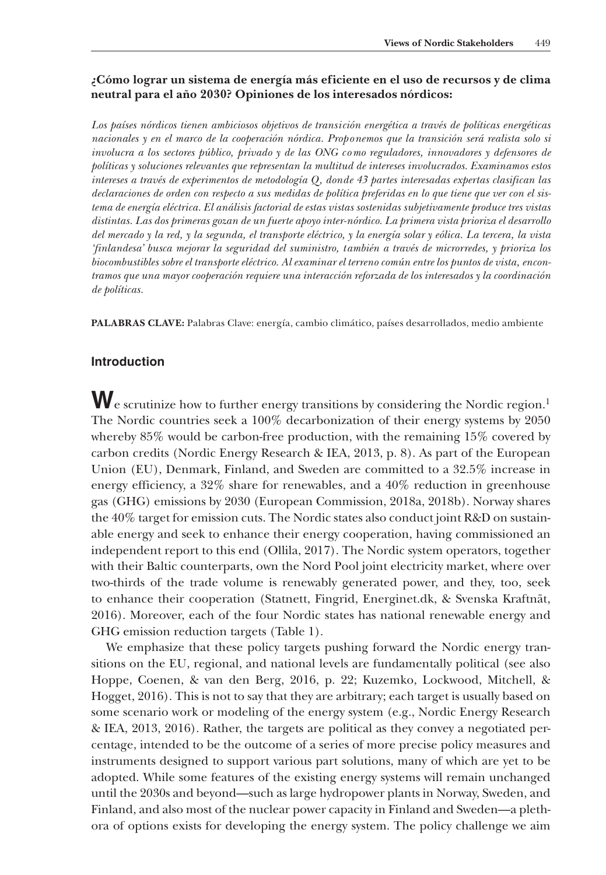# **¿Cómo lograr un sistema de energía más eficiente en el uso de recursos y de clima neutral para el año 2030? Opiniones de los interesados nórdicos:**

*Los países nórdicos tienen ambiciosos objetivos de transición energética a través de políticas energéticas nacionales y en el marco de la cooperación nórdica. Proponemos que la transición será realista solo si involucra a los sectores público, privado y de las ONG como reguladores, innovadores y defensores de políticas y soluciones relevantes que representan la multitud de intereses involucrados. Examinamos estos intereses a través de experimentos de metodología Q, donde 43 partes interesadas expertas clasifican las declaraciones de orden con respecto a sus medidas de política preferidas en lo que tiene que ver con el sistema de energía eléctrica. El análisis factorial de estas vistas sostenidas subjetivamente produce tres vistas distintas. Las dos primeras gozan de un fuerte apoyo inter-nórdico. La primera vista prioriza el desarrollo del mercado y la red, y la segunda, el transporte eléctrico, y la energía solar y eólica. La tercera, la vista 'finlandesa' busca mejorar la seguridad del suministro, también a través de microrredes, y prioriza los biocombustibles sobre el transporte eléctrico. Al examinar el terreno común entre los puntos de vista, encontramos que una mayor cooperación requiere una interacción reforzada de los interesados y la coordinación de políticas.*

**PALABRAS CLAVE:** Palabras Clave: energía, cambio climático, países desarrollados, medio ambiente

# **Introduction**

**W**e scrutinize how to further energy transitions by considering the Nordic region.1 The Nordic countries seek a 100% decarbonization of their energy systems by 2050 whereby 85% would be carbon-free production, with the remaining 15% covered by carbon credits (Nordic Energy Research & IEA, 2013, p. 8). As part of the European Union (EU), Denmark, Finland, and Sweden are committed to a 32.5% increase in energy efficiency, a 32% share for renewables, and a 40% reduction in greenhouse gas (GHG) emissions by 2030 (European Commission, 2018a, 2018b). Norway shares the 40% target for emission cuts. The Nordic states also conduct joint R&D on sustainable energy and seek to enhance their energy cooperation, having commissioned an independent report to this end (Ollila, 2017). The Nordic system operators, together with their Baltic counterparts, own the Nord Pool joint electricity market, where over two-thirds of the trade volume is renewably generated power, and they, too, seek to enhance their cooperation (Statnett, Fingrid, Energinet.dk, & Svenska Kraftnät, 2016). Moreover, each of the four Nordic states has national renewable energy and GHG emission reduction targets (Table 1).

We emphasize that these policy targets pushing forward the Nordic energy transitions on the EU, regional, and national levels are fundamentally political (see also Hoppe, Coenen, & van den Berg, 2016, p. 22; Kuzemko, Lockwood, Mitchell, & Hogget, 2016). This is not to say that they are arbitrary; each target is usually based on some scenario work or modeling of the energy system (e.g., Nordic Energy Research & IEA, 2013, 2016). Rather, the targets are political as they convey a negotiated percentage, intended to be the outcome of a series of more precise policy measures and instruments designed to support various part solutions, many of which are yet to be adopted. While some features of the existing energy systems will remain unchanged until the 2030s and beyond—such as large hydropower plants in Norway, Sweden, and Finland, and also most of the nuclear power capacity in Finland and Sweden—a plethora of options exists for developing the energy system. The policy challenge we aim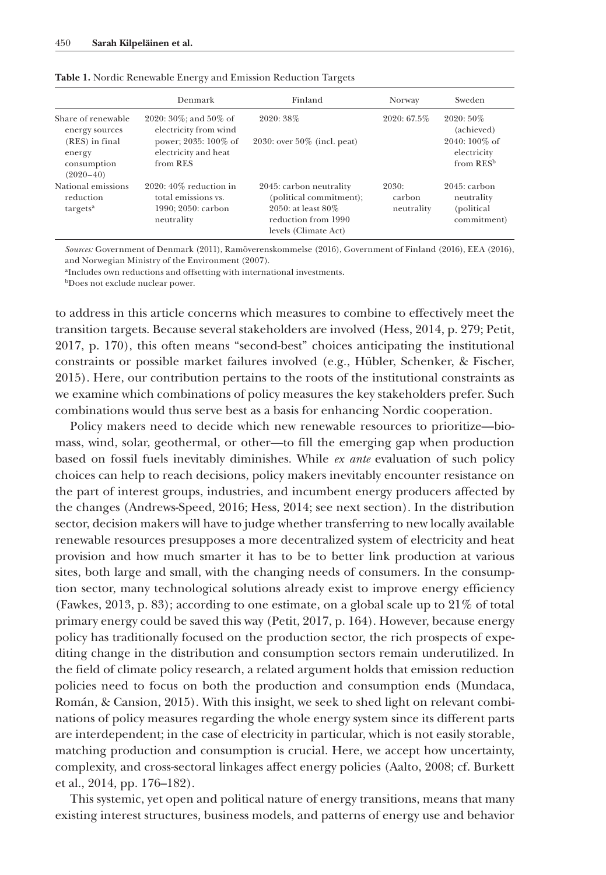|                                                                 | Denmark                                                                             | Finland                                                                                                                       | Norway                        | Sweden                                                     |
|-----------------------------------------------------------------|-------------------------------------------------------------------------------------|-------------------------------------------------------------------------------------------------------------------------------|-------------------------------|------------------------------------------------------------|
|                                                                 |                                                                                     |                                                                                                                               |                               |                                                            |
| Share of renewable<br>energy sources                            | 2020: 30%; and 50% of<br>electricity from wind                                      | 2020: 38%                                                                                                                     | 2020: 67.5%                   | 2020: 50%<br>(achieved)                                    |
| (RES) in final<br>energy<br>consumption<br>$(2020 - 40)$        | power; 2035: 100% of<br>electricity and heat<br>from RES                            | $2030$ : over $50\%$ (incl. peat)                                                                                             |                               | $2040:100\%$ of<br>electricity<br>from RES <sup>b</sup>    |
| National emissions<br>reduction<br>$t \text{argets}^{\text{a}}$ | $2020:40\%$ reduction in<br>total emissions vs.<br>1990; 2050: carbon<br>neutrality | 2045: carbon neutrality<br>(political commitment);<br>$2050$ : at least $80\%$<br>reduction from 1990<br>levels (Climate Act) | 2030:<br>carbon<br>neutrality | $2045:$ carbon<br>neutrality<br>(political)<br>commitment) |

**Table 1.** Nordic Renewable Energy and Emission Reduction Targets

*Sources:* Government of Denmark (2011), Ramöverenskommelse (2016), Government of Finland (2016), EEA (2016), and Norwegian Ministry of the Environment (2007).

aIncludes own reductions and offsetting with international investments.

bDoes not exclude nuclear power.

to address in this article concerns which measures to combine to effectively meet the transition targets. Because several stakeholders are involved (Hess, 2014, p. 279; Petit, 2017, p. 170), this often means "second-best" choices anticipating the institutional constraints or possible market failures involved (e.g., Hübler, Schenker, & Fischer, 2015). Here, our contribution pertains to the roots of the institutional constraints as we examine which combinations of policy measures the key stakeholders prefer. Such combinations would thus serve best as a basis for enhancing Nordic cooperation.

Policy makers need to decide which new renewable resources to prioritize—biomass, wind, solar, geothermal, or other—to fill the emerging gap when production based on fossil fuels inevitably diminishes. While *ex ante* evaluation of such policy choices can help to reach decisions, policy makers inevitably encounter resistance on the part of interest groups, industries, and incumbent energy producers affected by the changes (Andrews-Speed, 2016; Hess, 2014; see next section). In the distribution sector, decision makers will have to judge whether transferring to new locally available renewable resources presupposes a more decentralized system of electricity and heat provision and how much smarter it has to be to better link production at various sites, both large and small, with the changing needs of consumers. In the consumption sector, many technological solutions already exist to improve energy efficiency (Fawkes, 2013, p. 83); according to one estimate, on a global scale up to 21% of total primary energy could be saved this way (Petit, 2017, p. 164). However, because energy policy has traditionally focused on the production sector, the rich prospects of expediting change in the distribution and consumption sectors remain underutilized. In the field of climate policy research, a related argument holds that emission reduction policies need to focus on both the production and consumption ends (Mundaca, Román, & Cansion, 2015). With this insight, we seek to shed light on relevant combinations of policy measures regarding the whole energy system since its different parts are interdependent; in the case of electricity in particular, which is not easily storable, matching production and consumption is crucial. Here, we accept how uncertainty, complexity, and cross-sectoral linkages affect energy policies (Aalto, 2008; cf. Burkett et al., 2014, pp. 176–182).

This systemic, yet open and political nature of energy transitions, means that many existing interest structures, business models, and patterns of energy use and behavior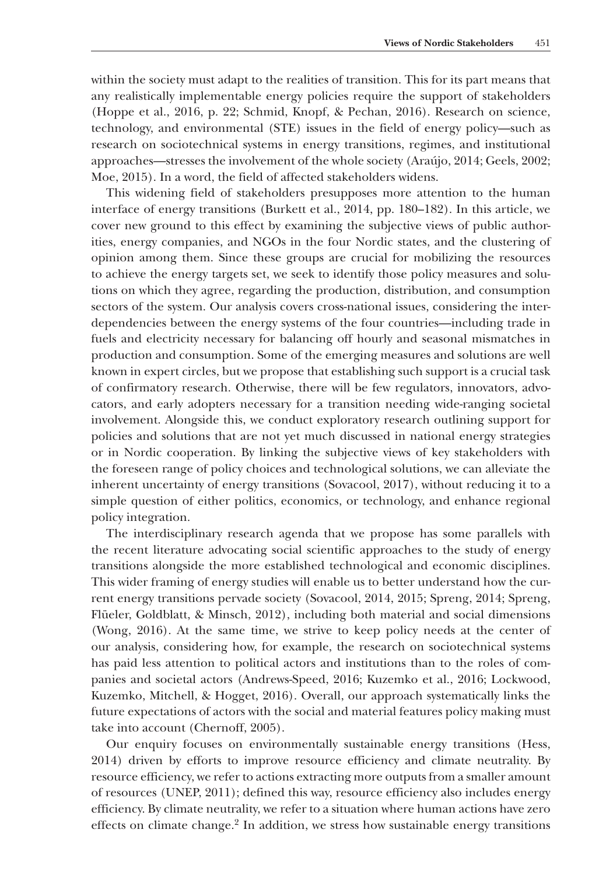within the society must adapt to the realities of transition. This for its part means that any realistically implementable energy policies require the support of stakeholders (Hoppe et al., 2016, p. 22; Schmid, Knopf, & Pechan, 2016). Research on science, technology, and environmental (STE) issues in the field of energy policy—such as research on sociotechnical systems in energy transitions, regimes, and institutional approaches—stresses the involvement of the whole society (Araújo, 2014; Geels, 2002; Moe, 2015). In a word, the field of affected stakeholders widens.

This widening field of stakeholders presupposes more attention to the human interface of energy transitions (Burkett et al., 2014, pp. 180–182). In this article, we cover new ground to this effect by examining the subjective views of public authorities, energy companies, and NGOs in the four Nordic states, and the clustering of opinion among them. Since these groups are crucial for mobilizing the resources to achieve the energy targets set, we seek to identify those policy measures and solutions on which they agree, regarding the production, distribution, and consumption sectors of the system. Our analysis covers cross-national issues, considering the interdependencies between the energy systems of the four countries—including trade in fuels and electricity necessary for balancing off hourly and seasonal mismatches in production and consumption. Some of the emerging measures and solutions are well known in expert circles, but we propose that establishing such support is a crucial task of confirmatory research. Otherwise, there will be few regulators, innovators, advocators, and early adopters necessary for a transition needing wide-ranging societal involvement. Alongside this, we conduct exploratory research outlining support for policies and solutions that are not yet much discussed in national energy strategies or in Nordic cooperation. By linking the subjective views of key stakeholders with the foreseen range of policy choices and technological solutions, we can alleviate the inherent uncertainty of energy transitions (Sovacool, 2017), without reducing it to a simple question of either politics, economics, or technology, and enhance regional policy integration.

The interdisciplinary research agenda that we propose has some parallels with the recent literature advocating social scientific approaches to the study of energy transitions alongside the more established technological and economic disciplines. This wider framing of energy studies will enable us to better understand how the current energy transitions pervade society (Sovacool, 2014, 2015; Spreng, 2014; Spreng, Flüeler, Goldblatt, & Minsch, 2012), including both material and social dimensions (Wong, 2016). At the same time, we strive to keep policy needs at the center of our analysis, considering how, for example, the research on sociotechnical systems has paid less attention to political actors and institutions than to the roles of companies and societal actors (Andrews-Speed, 2016; Kuzemko et al., 2016; Lockwood, Kuzemko, Mitchell, & Hogget, 2016). Overall, our approach systematically links the future expectations of actors with the social and material features policy making must take into account (Chernoff, 2005).

Our enquiry focuses on environmentally sustainable energy transitions (Hess, 2014) driven by efforts to improve resource efficiency and climate neutrality. By resource efficiency, we refer to actions extracting more outputs from a smaller amount of resources (UNEP, 2011); defined this way, resource efficiency also includes energy efficiency. By climate neutrality, we refer to a situation where human actions have zero effects on climate change.<sup>2</sup> In addition, we stress how sustainable energy transitions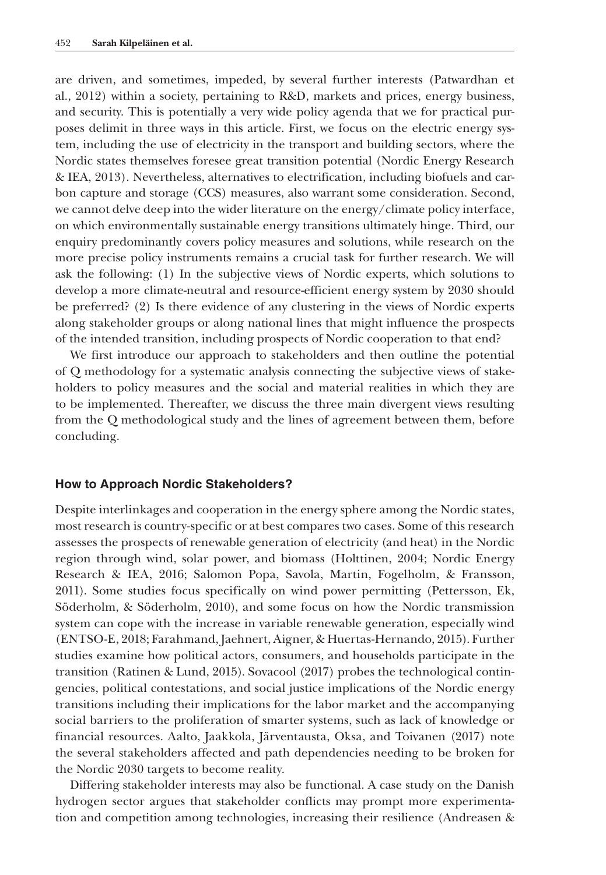are driven, and sometimes, impeded, by several further interests (Patwardhan et al., 2012) within a society, pertaining to R&D, markets and prices, energy business, and security. This is potentially a very wide policy agenda that we for practical purposes delimit in three ways in this article. First, we focus on the electric energy system, including the use of electricity in the transport and building sectors, where the Nordic states themselves foresee great transition potential (Nordic Energy Research & IEA, 2013). Nevertheless, alternatives to electrification, including biofuels and carbon capture and storage (CCS) measures, also warrant some consideration. Second, we cannot delve deep into the wider literature on the energy/climate policy interface, on which environmentally sustainable energy transitions ultimately hinge. Third, our enquiry predominantly covers policy measures and solutions, while research on the more precise policy instruments remains a crucial task for further research. We will ask the following: (1) In the subjective views of Nordic experts, which solutions to develop a more climate-neutral and resource-efficient energy system by 2030 should be preferred? (2) Is there evidence of any clustering in the views of Nordic experts along stakeholder groups or along national lines that might influence the prospects of the intended transition, including prospects of Nordic cooperation to that end?

We first introduce our approach to stakeholders and then outline the potential of Q methodology for a systematic analysis connecting the subjective views of stakeholders to policy measures and the social and material realities in which they are to be implemented. Thereafter, we discuss the three main divergent views resulting from the Q methodological study and the lines of agreement between them, before concluding.

#### **How to Approach Nordic Stakeholders?**

Despite interlinkages and cooperation in the energy sphere among the Nordic states, most research is country-specific or at best compares two cases. Some of this research assesses the prospects of renewable generation of electricity (and heat) in the Nordic region through wind, solar power, and biomass (Holttinen, 2004; Nordic Energy Research & IEA, 2016; Salomon Popa, Savola, Martin, Fogelholm, & Fransson, 2011). Some studies focus specifically on wind power permitting (Pettersson, Ek, Söderholm, & Söderholm, 2010), and some focus on how the Nordic transmission system can cope with the increase in variable renewable generation, especially wind (ENTSO-E, 2018; Farahmand, Jaehnert, Aigner, & Huertas-Hernando, 2015). Further studies examine how political actors, consumers, and households participate in the transition (Ratinen & Lund, 2015). Sovacool (2017) probes the technological contingencies, political contestations, and social justice implications of the Nordic energy transitions including their implications for the labor market and the accompanying social barriers to the proliferation of smarter systems, such as lack of knowledge or financial resources. Aalto, Jaakkola, Järventausta, Oksa, and Toivanen (2017) note the several stakeholders affected and path dependencies needing to be broken for the Nordic 2030 targets to become reality.

Differing stakeholder interests may also be functional. A case study on the Danish hydrogen sector argues that stakeholder conflicts may prompt more experimentation and competition among technologies, increasing their resilience (Andreasen &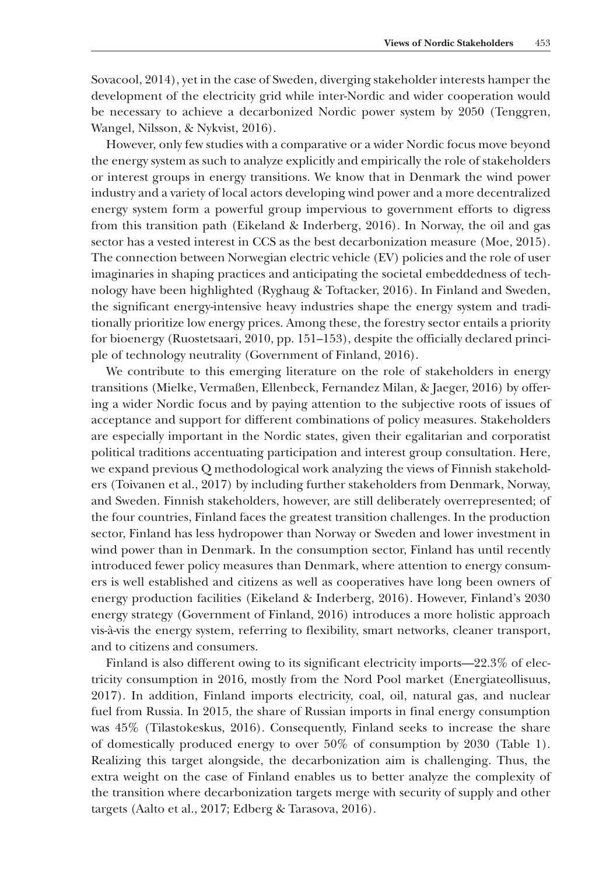Sovacool, 2014), yet in the case of Sweden, diverging stakeholder interests hamper the development of the electricity grid while inter-Nordic and wider cooperation would be necessary to achieve a decarbonized Nordic power system by 2050 (Tenggren, Wangel, Nilsson, & Nykvist, 2016).

However, only few studies with a comparative or a wider Nordic focus move beyond the energy system as such to analyze explicitly and empirically the role of stakeholders or interest groups in energy transitions. We know that in Denmark the wind power industry and a variety of local actors developing wind power and a more decentralized energy system form a powerful group impervious to government efforts to digress from this transition path (Eikeland & Inderberg, 2016). In Norway, the oil and gas sector has a vested interest in CCS as the best decarbonization measure (Moe, 2015). The connection between Norwegian electric vehicle (EV) policies and the role of user imaginaries in shaping practices and anticipating the societal embeddedness of technology have been highlighted (Ryghaug & Toftacker, 2016). In Finland and Sweden, the significant energy-intensive heavy industries shape the energy system and traditionally prioritize low energy prices. Among these, the forestry sector entails a priority for bioenergy (Ruostetsaari, 2010, pp. 151–153), despite the officially declared principle of technology neutrality (Government of Finland, 2016).

We contribute to this emerging literature on the role of stakeholders in energy transitions (Mielke, Vermaßen, Ellenbeck, Fernandez Milan, & Jaeger, 2016) by offering a wider Nordic focus and by paying attention to the subjective roots of issues of acceptance and support for different combinations of policy measures. Stakeholders are especially important in the Nordic states, given their egalitarian and corporatist political traditions accentuating participation and interest group consultation. Here, we expand previous Q methodological work analyzing the views of Finnish stakeholders (Toivanen et al., 2017) by including further stakeholders from Denmark, Norway, and Sweden. Finnish stakeholders, however, are still deliberately overrepresented; of the four countries, Finland faces the greatest transition challenges. In the production sector, Finland has less hydropower than Norway or Sweden and lower investment in wind power than in Denmark. In the consumption sector, Finland has until recently introduced fewer policy measures than Denmark, where attention to energy consumers is well established and citizens as well as cooperatives have long been owners of energy production facilities (Eikeland & Inderberg, 2016). However, Finland's 2030 energy strategy (Government of Finland, 2016) introduces a more holistic approach vis-à-vis the energy system, referring to flexibility, smart networks, cleaner transport, and to citizens and consumers.

Finland is also different owing to its significant electricity imports—22.3% of electricity consumption in 2016, mostly from the Nord Pool market (Energiateollisuus, 2017). In addition, Finland imports electricity, coal, oil, natural gas, and nuclear fuel from Russia. In 2015, the share of Russian imports in final energy consumption was 45% (Tilastokeskus, 2016). Consequently, Finland seeks to increase the share of domestically produced energy to over 50% of consumption by 2030 (Table 1). Realizing this target alongside, the decarbonization aim is challenging. Thus, the extra weight on the case of Finland enables us to better analyze the complexity of the transition where decarbonization targets merge with security of supply and other targets (Aalto et al., 2017; Edberg & Tarasova, 2016).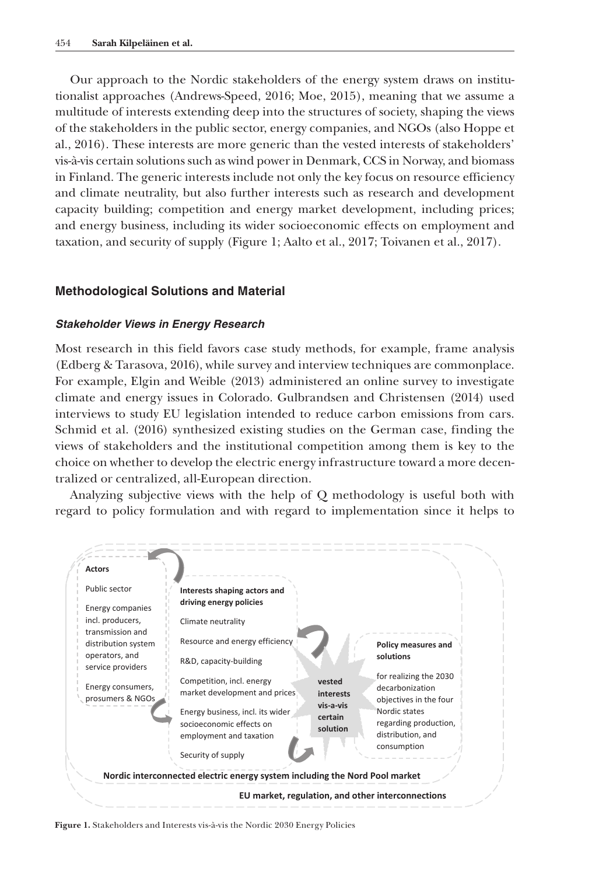Our approach to the Nordic stakeholders of the energy system draws on institutionalist approaches (Andrews-Speed, 2016; Moe, 2015), meaning that we assume a multitude of interests extending deep into the structures of society, shaping the views of the stakeholders in the public sector, energy companies, and NGOs (also Hoppe et al., 2016). These interests are more generic than the vested interests of stakeholders' vis-à-vis certain solutions such as wind power in Denmark, CCS in Norway, and biomass in Finland. The generic interests include not only the key focus on resource efficiency and climate neutrality, but also further interests such as research and development capacity building; competition and energy market development, including prices; and energy business, including its wider socioeconomic effects on employment and taxation, and security of supply (Figure 1; Aalto et al., 2017; Toivanen et al., 2017).

#### **Methodological Solutions and Material**

#### *Stakeholder Views in Energy Research*

Most research in this field favors case study methods, for example, frame analysis (Edberg & Tarasova, 2016), while survey and interview techniques are commonplace. For example, Elgin and Weible (2013) administered an online survey to investigate climate and energy issues in Colorado. Gulbrandsen and Christensen (2014) used interviews to study EU legislation intended to reduce carbon emissions from cars. Schmid et al. (2016) synthesized existing studies on the German case, finding the views of stakeholders and the institutional competition among them is key to the choice on whether to develop the electric energy infrastructure toward a more decentralized or centralized, all-European direction.

Analyzing subjective views with the help of Q methodology is useful both with regard to policy formulation and with regard to implementation since it helps to



**Figure 1.** Stakeholders and Interests vis-à-vis the Nordic 2030 Energy Policies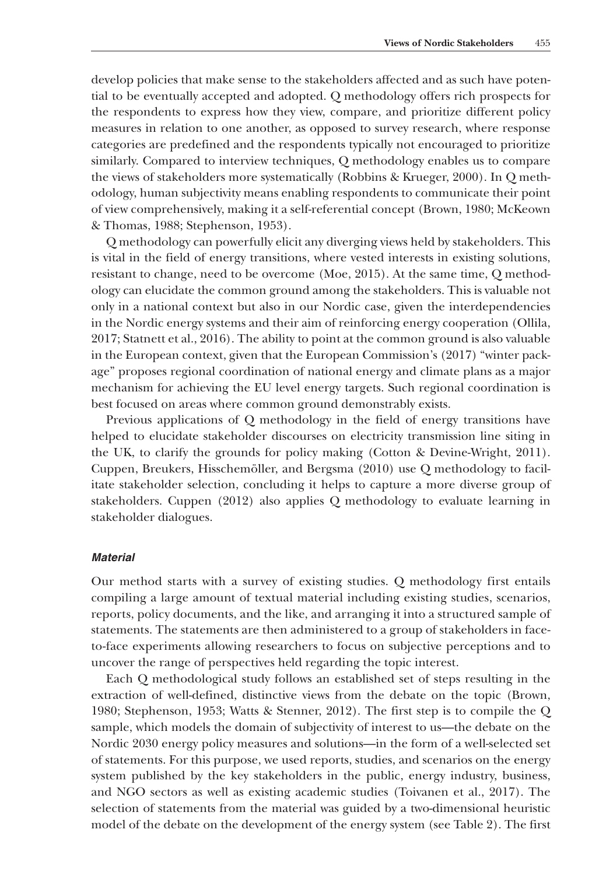develop policies that make sense to the stakeholders affected and as such have potential to be eventually accepted and adopted. Q methodology offers rich prospects for the respondents to express how they view, compare, and prioritize different policy measures in relation to one another, as opposed to survey research, where response categories are predefined and the respondents typically not encouraged to prioritize similarly. Compared to interview techniques, Q methodology enables us to compare the views of stakeholders more systematically (Robbins & Krueger, 2000). In Q methodology, human subjectivity means enabling respondents to communicate their point of view comprehensively, making it a self-referential concept (Brown, 1980; McKeown & Thomas, 1988; Stephenson, 1953).

Q methodology can powerfully elicit any diverging views held by stakeholders. This is vital in the field of energy transitions, where vested interests in existing solutions, resistant to change, need to be overcome (Moe, 2015). At the same time, Q methodology can elucidate the common ground among the stakeholders. This is valuable not only in a national context but also in our Nordic case, given the interdependencies in the Nordic energy systems and their aim of reinforcing energy cooperation (Ollila, 2017; Statnett et al., 2016). The ability to point at the common ground is also valuable in the European context, given that the European Commission's (2017) "winter package" proposes regional coordination of national energy and climate plans as a major mechanism for achieving the EU level energy targets. Such regional coordination is best focused on areas where common ground demonstrably exists.

Previous applications of Q methodology in the field of energy transitions have helped to elucidate stakeholder discourses on electricity transmission line siting in the UK, to clarify the grounds for policy making (Cotton & Devine-Wright, 2011). Cuppen, Breukers, Hisschemöller, and Bergsma (2010) use Q methodology to facilitate stakeholder selection, concluding it helps to capture a more diverse group of stakeholders. Cuppen (2012) also applies Q methodology to evaluate learning in stakeholder dialogues.

#### *Material*

Our method starts with a survey of existing studies. Q methodology first entails compiling a large amount of textual material including existing studies, scenarios, reports, policy documents, and the like, and arranging it into a structured sample of statements. The statements are then administered to a group of stakeholders in faceto-face experiments allowing researchers to focus on subjective perceptions and to uncover the range of perspectives held regarding the topic interest.

Each Q methodological study follows an established set of steps resulting in the extraction of well-defined, distinctive views from the debate on the topic (Brown, 1980; Stephenson, 1953; Watts & Stenner, 2012). The first step is to compile the Q sample, which models the domain of subjectivity of interest to us—the debate on the Nordic 2030 energy policy measures and solutions—in the form of a well-selected set of statements. For this purpose, we used reports, studies, and scenarios on the energy system published by the key stakeholders in the public, energy industry, business, and NGO sectors as well as existing academic studies (Toivanen et al., 2017). The selection of statements from the material was guided by a two-dimensional heuristic model of the debate on the development of the energy system (see Table 2). The first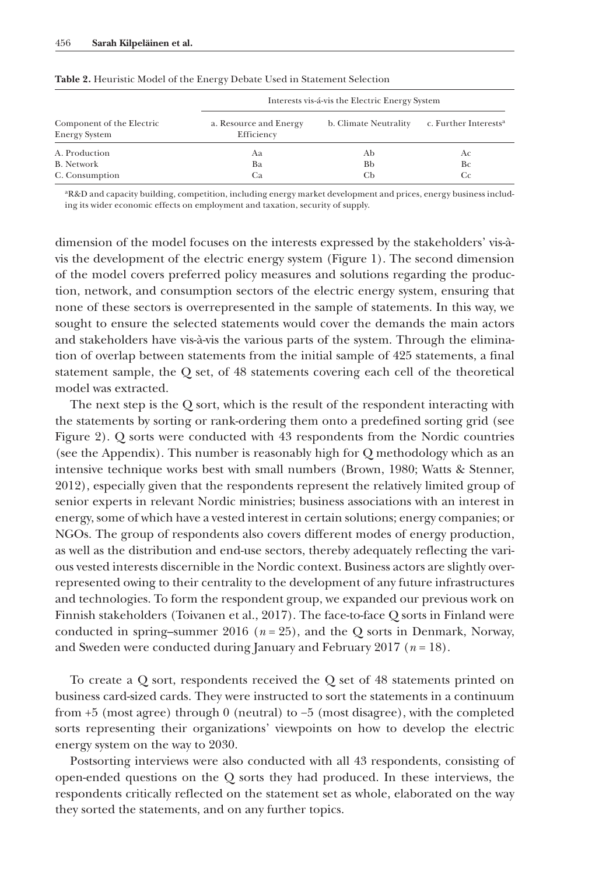|                                                   | Interests vis-á-vis the Electric Energy System |                       |                                   |  |  |  |
|---------------------------------------------------|------------------------------------------------|-----------------------|-----------------------------------|--|--|--|
| Component of the Electric<br><b>Energy System</b> | a. Resource and Energy<br>Efficiency           | b. Climate Neutrality | c. Further Interests <sup>a</sup> |  |  |  |
| A. Production                                     | Aа                                             | Аb                    | Aс                                |  |  |  |
| <b>B.</b> Network                                 | Ba                                             | Bb                    | Bс                                |  |  |  |
| C. Consumption                                    | Ca.                                            | CЪ                    | Cc                                |  |  |  |

**Table 2.** Heuristic Model of the Energy Debate Used in Statement Selection

aR&D and capacity building, competition, including energy market development and prices, energy business including its wider economic effects on employment and taxation, security of supply.

dimension of the model focuses on the interests expressed by the stakeholders' vis-àvis the development of the electric energy system (Figure 1). The second dimension of the model covers preferred policy measures and solutions regarding the production, network, and consumption sectors of the electric energy system, ensuring that none of these sectors is overrepresented in the sample of statements. In this way, we sought to ensure the selected statements would cover the demands the main actors and stakeholders have vis-à-vis the various parts of the system. Through the elimination of overlap between statements from the initial sample of 425 statements, a final statement sample, the Q set, of 48 statements covering each cell of the theoretical model was extracted.

The next step is the  $Q$  sort, which is the result of the respondent interacting with the statements by sorting or rank-ordering them onto a predefined sorting grid (see Figure 2). Q sorts were conducted with 43 respondents from the Nordic countries (see the Appendix). This number is reasonably high for Q methodology which as an intensive technique works best with small numbers (Brown, 1980; Watts & Stenner, 2012), especially given that the respondents represent the relatively limited group of senior experts in relevant Nordic ministries; business associations with an interest in energy, some of which have a vested interest in certain solutions; energy companies; or NGOs. The group of respondents also covers different modes of energy production, as well as the distribution and end-use sectors, thereby adequately reflecting the various vested interests discernible in the Nordic context. Business actors are slightly overrepresented owing to their centrality to the development of any future infrastructures and technologies. To form the respondent group, we expanded our previous work on Finnish stakeholders (Toivanen et al., 2017). The face-to-face Q sorts in Finland were conducted in spring–summer 2016 ( $n = 25$ ), and the Q sorts in Denmark, Norway, and Sweden were conducted during January and February 2017 (*n* = 18).

To create a Q sort, respondents received the Q set of 48 statements printed on business card-sized cards. They were instructed to sort the statements in a continuum from +5 (most agree) through 0 (neutral) to −5 (most disagree), with the completed sorts representing their organizations' viewpoints on how to develop the electric energy system on the way to 2030.

Postsorting interviews were also conducted with all 43 respondents, consisting of open-ended questions on the Q sorts they had produced. In these interviews, the respondents critically reflected on the statement set as whole, elaborated on the way they sorted the statements, and on any further topics.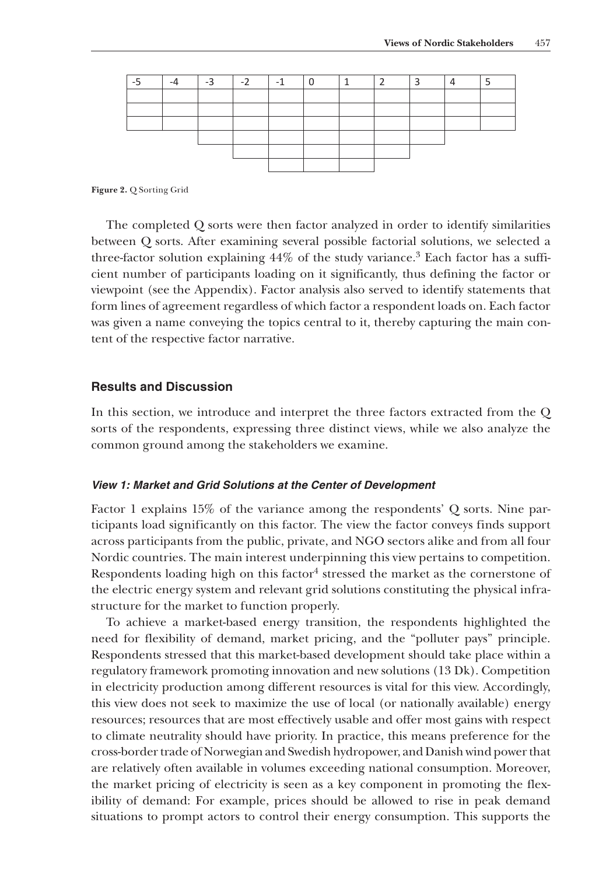| - | $\sqrt{2}$<br>- - - | $\overline{\phantom{a}}$ | ◢<br>- - 1 |  | ∍ |  |  |
|---|---------------------|--------------------------|------------|--|---|--|--|
|   |                     |                          |            |  |   |  |  |
|   |                     |                          |            |  |   |  |  |
|   |                     |                          |            |  |   |  |  |
|   |                     |                          |            |  |   |  |  |
|   |                     |                          |            |  |   |  |  |
|   |                     |                          |            |  |   |  |  |

**Figure 2.** Q Sorting Grid

The completed Q sorts were then factor analyzed in order to identify similarities between Q sorts. After examining several possible factorial solutions, we selected a three-factor solution explaining  $44\%$  of the study variance.<sup>3</sup> Each factor has a sufficient number of participants loading on it significantly, thus defining the factor or viewpoint (see the Appendix). Factor analysis also served to identify statements that form lines of agreement regardless of which factor a respondent loads on. Each factor was given a name conveying the topics central to it, thereby capturing the main content of the respective factor narrative.

# **Results and Discussion**

In this section, we introduce and interpret the three factors extracted from the Q sorts of the respondents, expressing three distinct views, while we also analyze the common ground among the stakeholders we examine.

#### *View 1: Market and Grid Solutions at the Center of Development*

Factor 1 explains 15% of the variance among the respondents' Q sorts. Nine participants load significantly on this factor. The view the factor conveys finds support across participants from the public, private, and NGO sectors alike and from all four Nordic countries. The main interest underpinning this view pertains to competition. Respondents loading high on this factor<sup>4</sup> stressed the market as the cornerstone of the electric energy system and relevant grid solutions constituting the physical infrastructure for the market to function properly.

To achieve a market-based energy transition, the respondents highlighted the need for flexibility of demand, market pricing, and the "polluter pays" principle. Respondents stressed that this market-based development should take place within a regulatory framework promoting innovation and new solutions (13 Dk). Competition in electricity production among different resources is vital for this view. Accordingly, this view does not seek to maximize the use of local (or nationally available) energy resources; resources that are most effectively usable and offer most gains with respect to climate neutrality should have priority. In practice, this means preference for the cross-border trade of Norwegian and Swedish hydropower, and Danish wind power that are relatively often available in volumes exceeding national consumption. Moreover, the market pricing of electricity is seen as a key component in promoting the flexibility of demand: For example, prices should be allowed to rise in peak demand situations to prompt actors to control their energy consumption. This supports the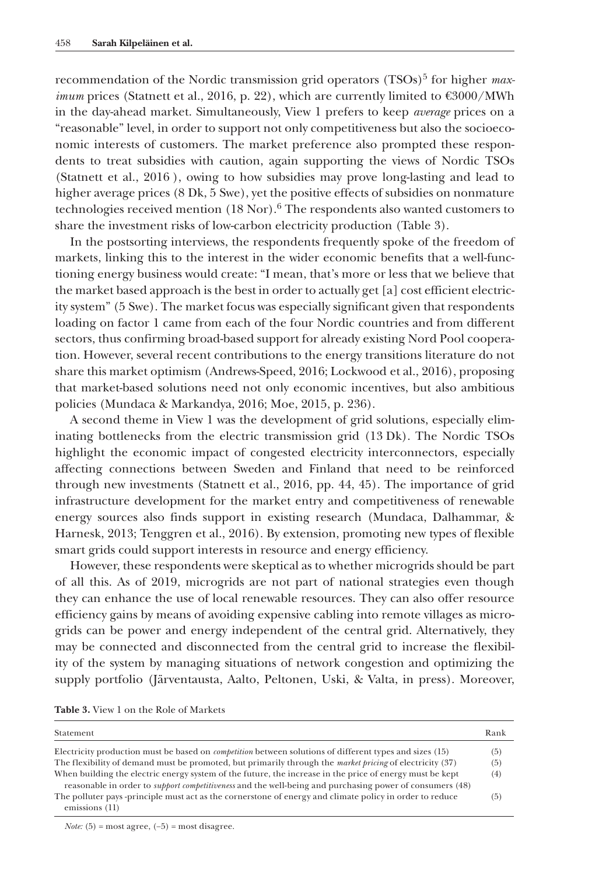recommendation of the Nordic transmission grid operators (TSOs)<sup>5</sup> for higher *maximum* prices (Statnett et al., 2016, p. 22), which are currently limited to €3000/MWh in the day-ahead market. Simultaneously, View 1 prefers to keep *average* prices on a "reasonable" level, in order to support not only competitiveness but also the socioeconomic interests of customers. The market preference also prompted these respondents to treat subsidies with caution, again supporting the views of Nordic TSOs (Statnett et al., 2016 ), owing to how subsidies may prove long-lasting and lead to higher average prices (8 Dk, 5 Swe), yet the positive effects of subsidies on nonmature technologies received mention  $(18 \text{ Nor})$ .<sup>6</sup> The respondents also wanted customers to share the investment risks of low-carbon electricity production (Table 3).

In the postsorting interviews, the respondents frequently spoke of the freedom of markets, linking this to the interest in the wider economic benefits that a well-functioning energy business would create: "I mean, that's more or less that we believe that the market based approach is the best in order to actually get [a] cost efficient electricity system" (5 Swe). The market focus was especially significant given that respondents loading on factor 1 came from each of the four Nordic countries and from different sectors, thus confirming broad-based support for already existing Nord Pool cooperation. However, several recent contributions to the energy transitions literature do not share this market optimism (Andrews-Speed, 2016; Lockwood et al., 2016), proposing that market-based solutions need not only economic incentives, but also ambitious policies (Mundaca & Markandya, 2016; Moe, 2015, p. 236).

A second theme in View 1 was the development of grid solutions, especially eliminating bottlenecks from the electric transmission grid (13 Dk). The Nordic TSOs highlight the economic impact of congested electricity interconnectors, especially affecting connections between Sweden and Finland that need to be reinforced through new investments (Statnett et al., 2016, pp. 44, 45). The importance of grid infrastructure development for the market entry and competitiveness of renewable energy sources also finds support in existing research (Mundaca, Dalhammar, & Harnesk, 2013; Tenggren et al., 2016). By extension, promoting new types of flexible smart grids could support interests in resource and energy efficiency.

However, these respondents were skeptical as to whether microgrids should be part of all this. As of 2019, microgrids are not part of national strategies even though they can enhance the use of local renewable resources. They can also offer resource efficiency gains by means of avoiding expensive cabling into remote villages as microgrids can be power and energy independent of the central grid. Alternatively, they may be connected and disconnected from the central grid to increase the flexibility of the system by managing situations of network congestion and optimizing the supply portfolio (Järventausta, Aalto, Peltonen, Uski, & Valta, in press). Moreover,

**Table 3.** View 1 on the Role of Markets

| Statement                                                                                                       | Rank |
|-----------------------------------------------------------------------------------------------------------------|------|
| Electricity production must be based on <i>competition</i> between solutions of different types and sizes (15)  | (5)  |
| The flexibility of demand must be promoted, but primarily through the market pricing of electricity (37)        | (5)  |
| When building the electric energy system of the future, the increase in the price of energy must be kept        | (4)  |
| reasonable in order to <i>support competitiveness</i> and the well-being and purchasing power of consumers (48) |      |
| The polluter pays -principle must act as the cornerstone of energy and climate policy in order to reduce        | (5)  |
| emissions (11)                                                                                                  |      |

*Note:* (5) = most agree, (−5) = most disagree.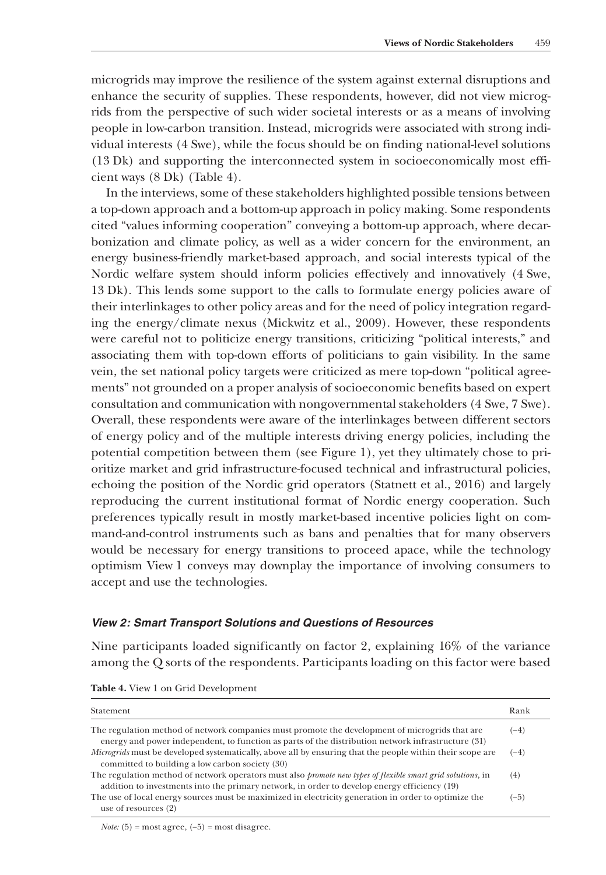microgrids may improve the resilience of the system against external disruptions and enhance the security of supplies. These respondents, however, did not view microgrids from the perspective of such wider societal interests or as a means of involving people in low-carbon transition. Instead, microgrids were associated with strong individual interests (4 Swe), while the focus should be on finding national-level solutions (13 Dk) and supporting the interconnected system in socioeconomically most efficient ways (8 Dk) (Table 4).

In the interviews, some of these stakeholders highlighted possible tensions between a top-down approach and a bottom-up approach in policy making. Some respondents cited "values informing cooperation" conveying a bottom-up approach, where decarbonization and climate policy, as well as a wider concern for the environment, an energy business-friendly market-based approach, and social interests typical of the Nordic welfare system should inform policies effectively and innovatively (4 Swe, 13 Dk). This lends some support to the calls to formulate energy policies aware of their interlinkages to other policy areas and for the need of policy integration regarding the energy/climate nexus (Mickwitz et al., 2009). However, these respondents were careful not to politicize energy transitions, criticizing "political interests," and associating them with top-down efforts of politicians to gain visibility. In the same vein, the set national policy targets were criticized as mere top-down "political agreements" not grounded on a proper analysis of socioeconomic benefits based on expert consultation and communication with nongovernmental stakeholders (4 Swe, 7 Swe). Overall, these respondents were aware of the interlinkages between different sectors of energy policy and of the multiple interests driving energy policies, including the potential competition between them (see Figure 1), yet they ultimately chose to prioritize market and grid infrastructure-focused technical and infrastructural policies, echoing the position of the Nordic grid operators (Statnett et al., 2016) and largely reproducing the current institutional format of Nordic energy cooperation. Such preferences typically result in mostly market-based incentive policies light on command-and-control instruments such as bans and penalties that for many observers would be necessary for energy transitions to proceed apace, while the technology optimism View 1 conveys may downplay the importance of involving consumers to accept and use the technologies.

# *View 2: Smart Transport Solutions and Questions of Resources*

Nine participants loaded significantly on factor 2, explaining 16% of the variance among the Q sorts of the respondents. Participants loading on this factor were based

| Statement                                                                                                                                                                                                           | Rank   |
|---------------------------------------------------------------------------------------------------------------------------------------------------------------------------------------------------------------------|--------|
| The regulation method of network companies must promote the development of microgrids that are<br>energy and power independent, to function as parts of the distribution network infrastructure (31)                | $(-4)$ |
| <i>Microgrids</i> must be developed systematically, above all by ensuring that the people within their scope are<br>committed to building a low carbon society (30)                                                 | $(-4)$ |
| The regulation method of network operators must also <i>promote new types of flexible smart grid solutions</i> , in<br>addition to investments into the primary network, in order to develop energy efficiency (19) | (4)    |
| The use of local energy sources must be maximized in electricity generation in order to optimize the<br>use of resources (2)                                                                                        | $(-5)$ |

**Table 4.** View 1 on Grid Development

*Note*: (5) = most agree, (−5) = most disagree.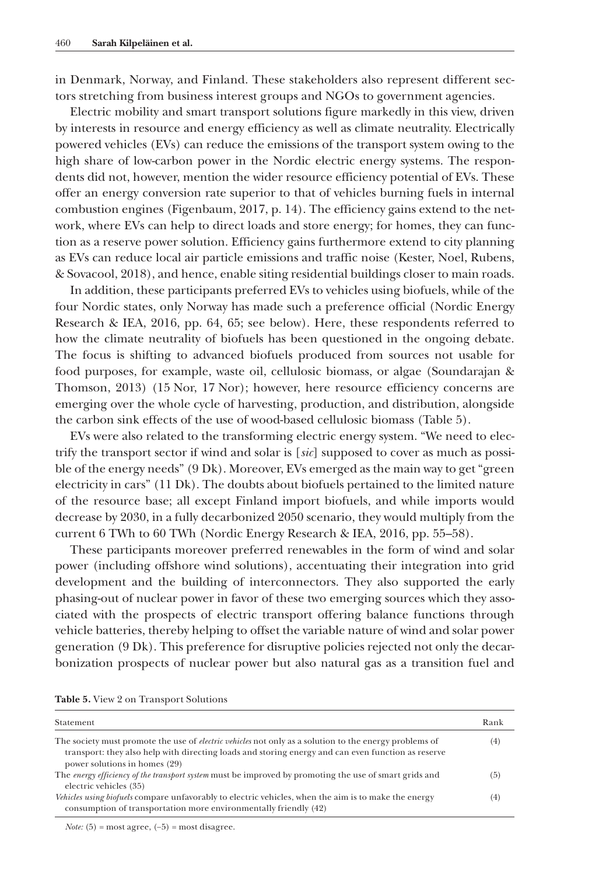in Denmark, Norway, and Finland. These stakeholders also represent different sectors stretching from business interest groups and NGOs to government agencies.

Electric mobility and smart transport solutions figure markedly in this view, driven by interests in resource and energy efficiency as well as climate neutrality. Electrically powered vehicles (EVs) can reduce the emissions of the transport system owing to the high share of low-carbon power in the Nordic electric energy systems. The respondents did not, however, mention the wider resource efficiency potential of EVs. These offer an energy conversion rate superior to that of vehicles burning fuels in internal combustion engines (Figenbaum, 2017, p. 14). The efficiency gains extend to the network, where EVs can help to direct loads and store energy; for homes, they can function as a reserve power solution. Efficiency gains furthermore extend to city planning as EVs can reduce local air particle emissions and traffic noise (Kester, Noel, Rubens, & Sovacool, 2018), and hence, enable siting residential buildings closer to main roads.

In addition, these participants preferred EVs to vehicles using biofuels, while of the four Nordic states, only Norway has made such a preference official (Nordic Energy Research & IEA, 2016, pp. 64, 65; see below). Here, these respondents referred to how the climate neutrality of biofuels has been questioned in the ongoing debate. The focus is shifting to advanced biofuels produced from sources not usable for food purposes, for example, waste oil, cellulosic biomass, or algae (Soundarajan & Thomson, 2013) (15 Nor, 17 Nor); however, here resource efficiency concerns are emerging over the whole cycle of harvesting, production, and distribution, alongside the carbon sink effects of the use of wood-based cellulosic biomass (Table 5).

EVs were also related to the transforming electric energy system. "We need to electrify the transport sector if wind and solar is [*sic*] supposed to cover as much as possible of the energy needs" (9 Dk). Moreover, EVs emerged as the main way to get "green electricity in cars" (11 Dk). The doubts about biofuels pertained to the limited nature of the resource base; all except Finland import biofuels, and while imports would decrease by 2030, in a fully decarbonized 2050 scenario, they would multiply from the current 6 TWh to 60 TWh (Nordic Energy Research & IEA, 2016, pp. 55–58).

These participants moreover preferred renewables in the form of wind and solar power (including offshore wind solutions), accentuating their integration into grid development and the building of interconnectors. They also supported the early phasing-out of nuclear power in favor of these two emerging sources which they associated with the prospects of electric transport offering balance functions through vehicle batteries, thereby helping to offset the variable nature of wind and solar power generation (9 Dk). This preference for disruptive policies rejected not only the decarbonization prospects of nuclear power but also natural gas as a transition fuel and

|  |  |  | Table 5. View 2 on Transport Solutions |  |
|--|--|--|----------------------------------------|--|
|--|--|--|----------------------------------------|--|

| Statement                                                                                                                                                                                                                                            | Rank |
|------------------------------------------------------------------------------------------------------------------------------------------------------------------------------------------------------------------------------------------------------|------|
| The society must promote the use of <i>electric vehicles</i> not only as a solution to the energy problems of<br>transport: they also help with directing loads and storing energy and can even function as reserve<br>power solutions in homes (29) | (4)  |
| The energy efficiency of the transport system must be improved by promoting the use of smart grids and<br>electric vehicles (35)                                                                                                                     | (5)  |
| Vehicles using biofuels compare unfavorably to electric vehicles, when the aim is to make the energy<br>consumption of transportation more environmentally friendly (42)                                                                             | (4)  |

*Note:*  $(5)$  = most agree,  $(-5)$  = most disagree.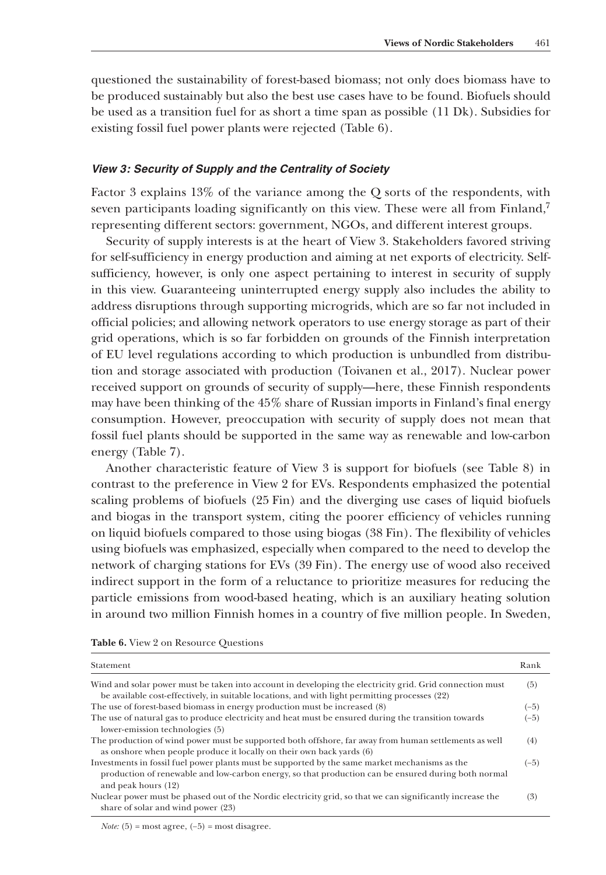questioned the sustainability of forest-based biomass; not only does biomass have to be produced sustainably but also the best use cases have to be found. Biofuels should be used as a transition fuel for as short a time span as possible (11 Dk). Subsidies for existing fossil fuel power plants were rejected (Table 6).

#### *View 3: Security of Supply and the Centrality of Society*

Factor 3 explains 13% of the variance among the Q sorts of the respondents, with seven participants loading significantly on this view. These were all from Finland,<sup>7</sup> representing different sectors: government, NGOs, and different interest groups.

Security of supply interests is at the heart of View 3. Stakeholders favored striving for self-sufficiency in energy production and aiming at net exports of electricity. Selfsufficiency, however, is only one aspect pertaining to interest in security of supply in this view. Guaranteeing uninterrupted energy supply also includes the ability to address disruptions through supporting microgrids, which are so far not included in official policies; and allowing network operators to use energy storage as part of their grid operations, which is so far forbidden on grounds of the Finnish interpretation of EU level regulations according to which production is unbundled from distribution and storage associated with production (Toivanen et al., 2017). Nuclear power received support on grounds of security of supply—here, these Finnish respondents may have been thinking of the 45% share of Russian imports in Finland's final energy consumption. However, preoccupation with security of supply does not mean that fossil fuel plants should be supported in the same way as renewable and low-carbon energy (Table 7).

Another characteristic feature of View 3 is support for biofuels (see Table 8) in contrast to the preference in View 2 for EVs. Respondents emphasized the potential scaling problems of biofuels (25 Fin) and the diverging use cases of liquid biofuels and biogas in the transport system, citing the poorer efficiency of vehicles running on liquid biofuels compared to those using biogas (38 Fin). The flexibility of vehicles using biofuels was emphasized, especially when compared to the need to develop the network of charging stations for EVs (39 Fin). The energy use of wood also received indirect support in the form of a reluctance to prioritize measures for reducing the particle emissions from wood-based heating, which is an auxiliary heating solution in around two million Finnish homes in a country of five million people. In Sweden,

| Statement                                                                                                                                                                                                                    | Rank   |
|------------------------------------------------------------------------------------------------------------------------------------------------------------------------------------------------------------------------------|--------|
| Wind and solar power must be taken into account in developing the electricity grid. Grid connection must<br>be available cost-effectively, in suitable locations, and with light permitting processes (22)                   | (5)    |
| The use of forest-based biomass in energy production must be increased (8)                                                                                                                                                   | $(-5)$ |
| The use of natural gas to produce electricity and heat must be ensured during the transition towards<br>lower-emission technologies (5)                                                                                      | $(-5)$ |
| The production of wind power must be supported both offshore, far away from human settlements as well<br>as onshore when people produce it locally on their own back yards (6)                                               | (4)    |
| Investments in fossil fuel power plants must be supported by the same market mechanisms as the<br>production of renewable and low-carbon energy, so that production can be ensured during both normal<br>and peak hours (12) | $(-5)$ |
| Nuclear power must be phased out of the Nordic electricity grid, so that we can significantly increase the<br>share of solar and wind power (23)                                                                             | (3)    |

**Table 6.** View 2 on Resource Questions

 $Note: (5) = most agree, (-5) = most disagree.$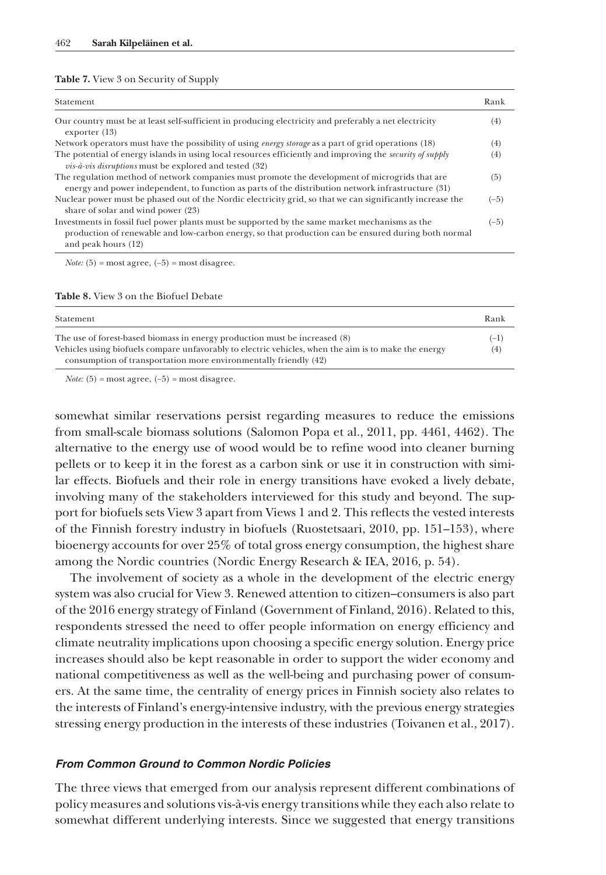#### **Table 7.** View 3 on Security of Supply

| Statement                                                                                                                                                                                                                    | Rank   |
|------------------------------------------------------------------------------------------------------------------------------------------------------------------------------------------------------------------------------|--------|
| Our country must be at least self-sufficient in producing electricity and preferably a net electricity<br>exporter $(13)$                                                                                                    | (4)    |
| Network operators must have the possibility of using <i>energy storage</i> as a part of grid operations (18)                                                                                                                 | (4)    |
| The potential of energy islands in using local resources efficiently and improving the <i>security</i> of <i>supply</i><br>vis-à-vis disruptions must be explored and tested (32)                                            | (4)    |
| The regulation method of network companies must promote the development of microgrids that are<br>energy and power independent, to function as parts of the distribution network infrastructure (31)                         | (5)    |
| Nuclear power must be phased out of the Nordic electricity grid, so that we can significantly increase the<br>share of solar and wind power (23)                                                                             | $(-5)$ |
| Investments in fossil fuel power plants must be supported by the same market mechanisms as the<br>production of renewable and low-carbon energy, so that production can be ensured during both normal<br>and peak hours (12) | $(-5)$ |

*Note:* (5) = most agree, (−5) = most disagree.

| Statement                                                                                                                                                                          | Rank          |
|------------------------------------------------------------------------------------------------------------------------------------------------------------------------------------|---------------|
| The use of forest-based biomass in energy production must be increased (8)<br>Vehicles using biofuels compare unfavorably to electric vehicles, when the aim is to make the energy | $(-1)$<br>(4) |
| consumption of transportation more environmentally friendly (42)                                                                                                                   |               |

*Note:* (5) = most agree, (−5) = most disagree.

somewhat similar reservations persist regarding measures to reduce the emissions from small-scale biomass solutions (Salomon Popa et al., 2011, pp. 4461, 4462). The alternative to the energy use of wood would be to refine wood into cleaner burning pellets or to keep it in the forest as a carbon sink or use it in construction with similar effects. Biofuels and their role in energy transitions have evoked a lively debate, involving many of the stakeholders interviewed for this study and beyond. The support for biofuels sets View 3 apart from Views 1 and 2. This reflects the vested interests of the Finnish forestry industry in biofuels (Ruostetsaari, 2010, pp. 151–153), where bioenergy accounts for over 25% of total gross energy consumption, the highest share among the Nordic countries (Nordic Energy Research & IEA, 2016, p. 54).

The involvement of society as a whole in the development of the electric energy system was also crucial for View 3. Renewed attention to citizen–consumers is also part of the 2016 energy strategy of Finland (Government of Finland, 2016). Related to this, respondents stressed the need to offer people information on energy efficiency and climate neutrality implications upon choosing a specific energy solution. Energy price increases should also be kept reasonable in order to support the wider economy and national competitiveness as well as the well-being and purchasing power of consumers. At the same time, the centrality of energy prices in Finnish society also relates to the interests of Finland's energy-intensive industry, with the previous energy strategies stressing energy production in the interests of these industries (Toivanen et al., 2017).

### *From Common Ground to Common Nordic Policies*

The three views that emerged from our analysis represent different combinations of policy measures and solutions vis-à-vis energy transitions while they each also relate to somewhat different underlying interests. Since we suggested that energy transitions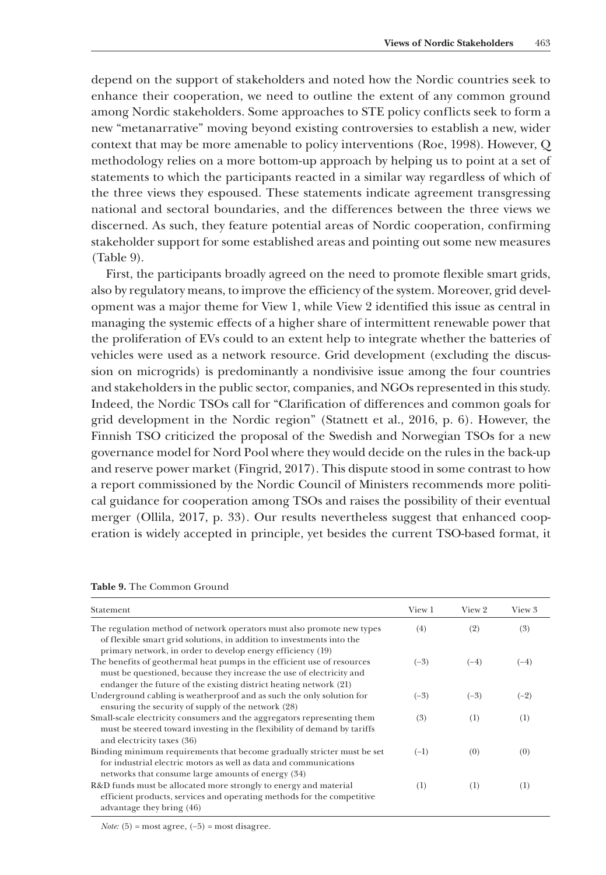depend on the support of stakeholders and noted how the Nordic countries seek to enhance their cooperation, we need to outline the extent of any common ground among Nordic stakeholders. Some approaches to STE policy conflicts seek to form a new "metanarrative" moving beyond existing controversies to establish a new, wider context that may be more amenable to policy interventions (Roe, 1998). However, Q methodology relies on a more bottom-up approach by helping us to point at a set of statements to which the participants reacted in a similar way regardless of which of the three views they espoused. These statements indicate agreement transgressing national and sectoral boundaries, and the differences between the three views we discerned. As such, they feature potential areas of Nordic cooperation, confirming stakeholder support for some established areas and pointing out some new measures (Table 9).

First, the participants broadly agreed on the need to promote flexible smart grids, also by regulatory means, to improve the efficiency of the system. Moreover, grid development was a major theme for View 1, while View 2 identified this issue as central in managing the systemic effects of a higher share of intermittent renewable power that the proliferation of EVs could to an extent help to integrate whether the batteries of vehicles were used as a network resource. Grid development (excluding the discussion on microgrids) is predominantly a nondivisive issue among the four countries and stakeholders in the public sector, companies, and NGOs represented in this study. Indeed, the Nordic TSOs call for "Clarification of differences and common goals for grid development in the Nordic region" (Statnett et al., 2016, p. 6). However, the Finnish TSO criticized the proposal of the Swedish and Norwegian TSOs for a new governance model for Nord Pool where they would decide on the rules in the back-up and reserve power market (Fingrid, 2017). This dispute stood in some contrast to how a report commissioned by the Nordic Council of Ministers recommends more political guidance for cooperation among TSOs and raises the possibility of their eventual merger (Ollila, 2017, p. 33). Our results nevertheless suggest that enhanced cooperation is widely accepted in principle, yet besides the current TSO-based format, it

| Statement                                                                                                                                                                                                            | View 1 | View 2 | View 3 |
|----------------------------------------------------------------------------------------------------------------------------------------------------------------------------------------------------------------------|--------|--------|--------|
| The regulation method of network operators must also promote new types<br>of flexible smart grid solutions, in addition to investments into the<br>primary network, in order to develop energy efficiency (19)       | (4)    | (2)    | (3)    |
| The benefits of geothermal heat pumps in the efficient use of resources<br>must be questioned, because they increase the use of electricity and<br>endanger the future of the existing district heating network (21) | $(-3)$ | $(-4)$ | $(-4)$ |
| Underground cabling is weatherproof and as such the only solution for<br>ensuring the security of supply of the network (28)                                                                                         | $(-3)$ | $(-3)$ | $(-2)$ |
| Small-scale electricity consumers and the aggregators representing them<br>must be steered toward investing in the flexibility of demand by tariffs<br>and electricity taxes (36)                                    | (3)    | (1)    | (1)    |
| Binding minimum requirements that become gradually stricter must be set<br>for industrial electric motors as well as data and communications<br>networks that consume large amounts of energy (34)                   | $(-1)$ | (0)    | (0)    |
| R&D funds must be allocated more strongly to energy and material<br>efficient products, services and operating methods for the competitive<br>advantage they bring (46)                                              | (1)    | (1)    | (1)    |

#### **Table 9.** The Common Ground

 $Note: (5) = most agree, (-5) = most disagree.$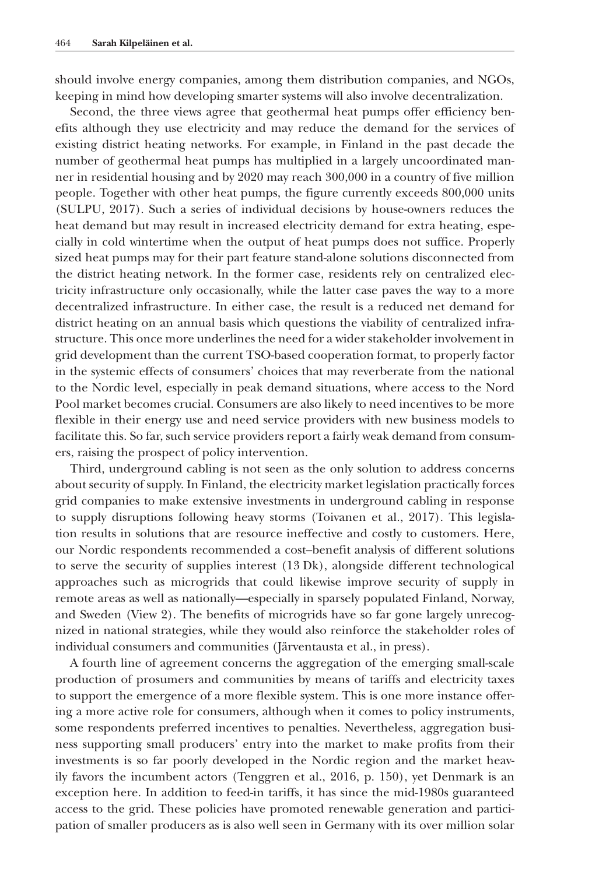should involve energy companies, among them distribution companies, and NGOs, keeping in mind how developing smarter systems will also involve decentralization.

Second, the three views agree that geothermal heat pumps offer efficiency benefits although they use electricity and may reduce the demand for the services of existing district heating networks. For example, in Finland in the past decade the number of geothermal heat pumps has multiplied in a largely uncoordinated manner in residential housing and by 2020 may reach 300,000 in a country of five million people. Together with other heat pumps, the figure currently exceeds 800,000 units (SULPU, 2017). Such a series of individual decisions by house-owners reduces the heat demand but may result in increased electricity demand for extra heating, especially in cold wintertime when the output of heat pumps does not suffice. Properly sized heat pumps may for their part feature stand-alone solutions disconnected from the district heating network. In the former case, residents rely on centralized electricity infrastructure only occasionally, while the latter case paves the way to a more decentralized infrastructure. In either case, the result is a reduced net demand for district heating on an annual basis which questions the viability of centralized infrastructure. This once more underlines the need for a wider stakeholder involvement in grid development than the current TSO-based cooperation format, to properly factor in the systemic effects of consumers' choices that may reverberate from the national to the Nordic level, especially in peak demand situations, where access to the Nord Pool market becomes crucial. Consumers are also likely to need incentives to be more flexible in their energy use and need service providers with new business models to facilitate this. So far, such service providers report a fairly weak demand from consumers, raising the prospect of policy intervention.

Third, underground cabling is not seen as the only solution to address concerns about security of supply. In Finland, the electricity market legislation practically forces grid companies to make extensive investments in underground cabling in response to supply disruptions following heavy storms (Toivanen et al., 2017). This legislation results in solutions that are resource ineffective and costly to customers. Here, our Nordic respondents recommended a cost–benefit analysis of different solutions to serve the security of supplies interest (13 Dk), alongside different technological approaches such as microgrids that could likewise improve security of supply in remote areas as well as nationally—especially in sparsely populated Finland, Norway, and Sweden (View 2). The benefits of microgrids have so far gone largely unrecognized in national strategies, while they would also reinforce the stakeholder roles of individual consumers and communities (Järventausta et al., in press).

A fourth line of agreement concerns the aggregation of the emerging small-scale production of prosumers and communities by means of tariffs and electricity taxes to support the emergence of a more flexible system. This is one more instance offering a more active role for consumers, although when it comes to policy instruments, some respondents preferred incentives to penalties. Nevertheless, aggregation business supporting small producers' entry into the market to make profits from their investments is so far poorly developed in the Nordic region and the market heavily favors the incumbent actors (Tenggren et al., 2016, p. 150), yet Denmark is an exception here. In addition to feed-in tariffs, it has since the mid-1980s guaranteed access to the grid. These policies have promoted renewable generation and participation of smaller producers as is also well seen in Germany with its over million solar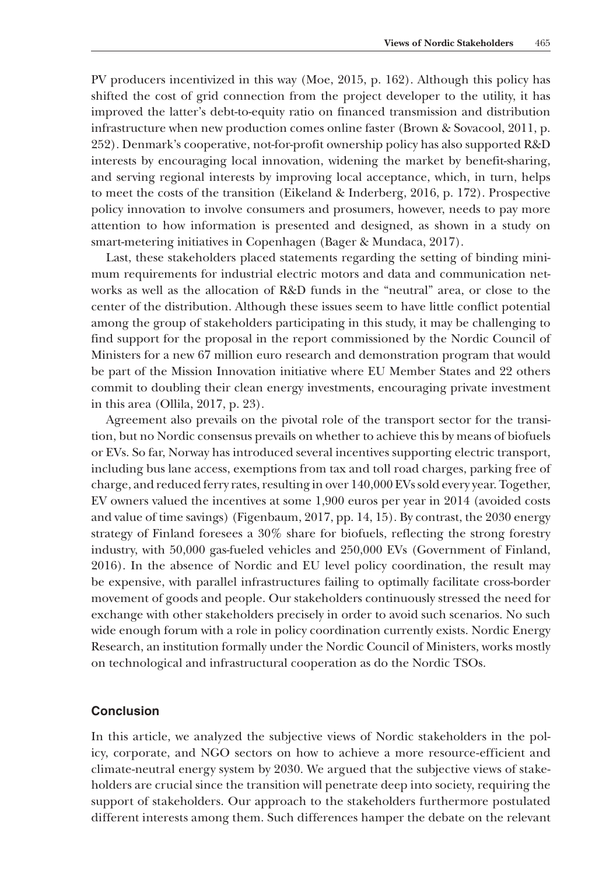PV producers incentivized in this way (Moe, 2015, p. 162). Although this policy has shifted the cost of grid connection from the project developer to the utility, it has improved the latter's debt-to-equity ratio on financed transmission and distribution infrastructure when new production comes online faster (Brown & Sovacool, 2011, p. 252). Denmark's cooperative, not-for-profit ownership policy has also supported R&D interests by encouraging local innovation, widening the market by benefit-sharing, and serving regional interests by improving local acceptance, which, in turn, helps to meet the costs of the transition (Eikeland & Inderberg, 2016, p. 172). Prospective policy innovation to involve consumers and prosumers, however, needs to pay more attention to how information is presented and designed, as shown in a study on smart-metering initiatives in Copenhagen (Bager & Mundaca, 2017).

Last, these stakeholders placed statements regarding the setting of binding minimum requirements for industrial electric motors and data and communication networks as well as the allocation of R&D funds in the "neutral" area, or close to the center of the distribution. Although these issues seem to have little conflict potential among the group of stakeholders participating in this study, it may be challenging to find support for the proposal in the report commissioned by the Nordic Council of Ministers for a new 67 million euro research and demonstration program that would be part of the Mission Innovation initiative where EU Member States and 22 others commit to doubling their clean energy investments, encouraging private investment in this area (Ollila, 2017, p. 23).

Agreement also prevails on the pivotal role of the transport sector for the transition, but no Nordic consensus prevails on whether to achieve this by means of biofuels or EVs. So far, Norway has introduced several incentives supporting electric transport, including bus lane access, exemptions from tax and toll road charges, parking free of charge, and reduced ferry rates, resulting in over 140,000 EVs sold every year. Together, EV owners valued the incentives at some 1,900 euros per year in 2014 (avoided costs and value of time savings) (Figenbaum, 2017, pp. 14, 15). By contrast, the 2030 energy strategy of Finland foresees a 30% share for biofuels, reflecting the strong forestry industry, with 50,000 gas-fueled vehicles and 250,000 EVs (Government of Finland, 2016). In the absence of Nordic and EU level policy coordination, the result may be expensive, with parallel infrastructures failing to optimally facilitate cross-border movement of goods and people. Our stakeholders continuously stressed the need for exchange with other stakeholders precisely in order to avoid such scenarios. No such wide enough forum with a role in policy coordination currently exists. Nordic Energy Research, an institution formally under the Nordic Council of Ministers, works mostly on technological and infrastructural cooperation as do the Nordic TSOs.

# **Conclusion**

In this article, we analyzed the subjective views of Nordic stakeholders in the policy, corporate, and NGO sectors on how to achieve a more resource-efficient and climate-neutral energy system by 2030. We argued that the subjective views of stakeholders are crucial since the transition will penetrate deep into society, requiring the support of stakeholders. Our approach to the stakeholders furthermore postulated different interests among them. Such differences hamper the debate on the relevant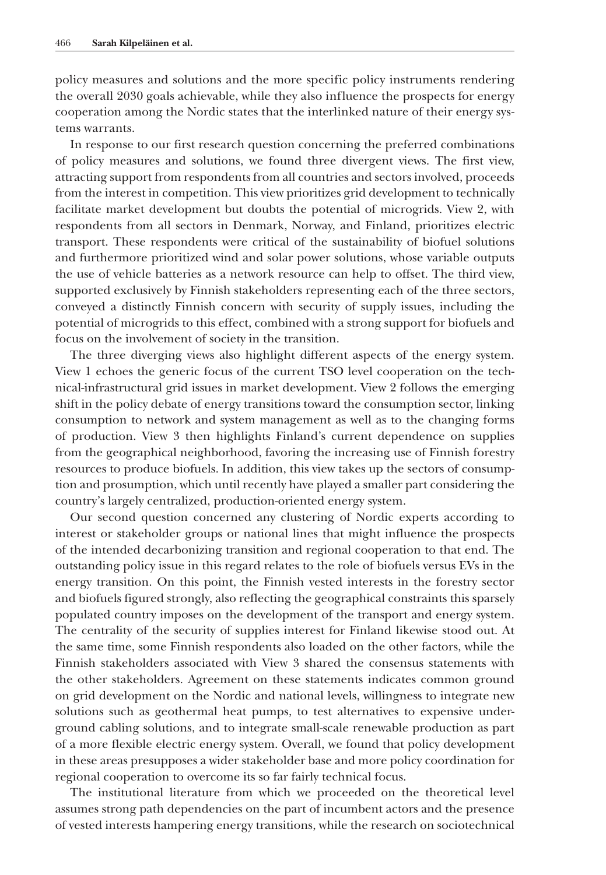policy measures and solutions and the more specific policy instruments rendering the overall 2030 goals achievable, while they also influence the prospects for energy cooperation among the Nordic states that the interlinked nature of their energy systems warrants.

In response to our first research question concerning the preferred combinations of policy measures and solutions, we found three divergent views. The first view, attracting support from respondents from all countries and sectors involved, proceeds from the interest in competition. This view prioritizes grid development to technically facilitate market development but doubts the potential of microgrids. View 2, with respondents from all sectors in Denmark, Norway, and Finland, prioritizes electric transport. These respondents were critical of the sustainability of biofuel solutions and furthermore prioritized wind and solar power solutions, whose variable outputs the use of vehicle batteries as a network resource can help to offset. The third view, supported exclusively by Finnish stakeholders representing each of the three sectors, conveyed a distinctly Finnish concern with security of supply issues, including the potential of microgrids to this effect, combined with a strong support for biofuels and focus on the involvement of society in the transition.

The three diverging views also highlight different aspects of the energy system. View 1 echoes the generic focus of the current TSO level cooperation on the technical-infrastructural grid issues in market development. View 2 follows the emerging shift in the policy debate of energy transitions toward the consumption sector, linking consumption to network and system management as well as to the changing forms of production. View 3 then highlights Finland's current dependence on supplies from the geographical neighborhood, favoring the increasing use of Finnish forestry resources to produce biofuels. In addition, this view takes up the sectors of consumption and prosumption, which until recently have played a smaller part considering the country's largely centralized, production-oriented energy system.

Our second question concerned any clustering of Nordic experts according to interest or stakeholder groups or national lines that might influence the prospects of the intended decarbonizing transition and regional cooperation to that end. The outstanding policy issue in this regard relates to the role of biofuels versus EVs in the energy transition. On this point, the Finnish vested interests in the forestry sector and biofuels figured strongly, also reflecting the geographical constraints this sparsely populated country imposes on the development of the transport and energy system. The centrality of the security of supplies interest for Finland likewise stood out. At the same time, some Finnish respondents also loaded on the other factors, while the Finnish stakeholders associated with View 3 shared the consensus statements with the other stakeholders. Agreement on these statements indicates common ground on grid development on the Nordic and national levels, willingness to integrate new solutions such as geothermal heat pumps, to test alternatives to expensive underground cabling solutions, and to integrate small-scale renewable production as part of a more flexible electric energy system. Overall, we found that policy development in these areas presupposes a wider stakeholder base and more policy coordination for regional cooperation to overcome its so far fairly technical focus.

The institutional literature from which we proceeded on the theoretical level assumes strong path dependencies on the part of incumbent actors and the presence of vested interests hampering energy transitions, while the research on sociotechnical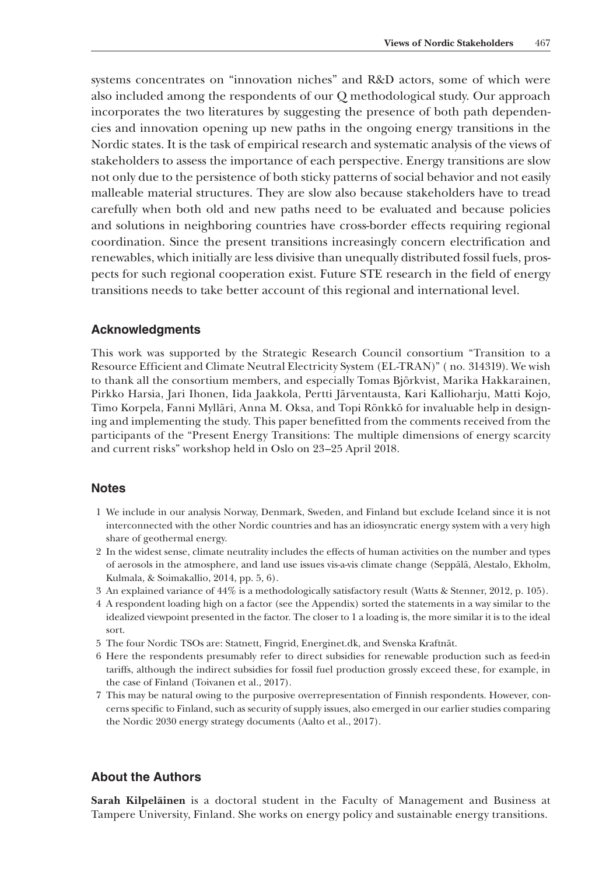systems concentrates on "innovation niches" and R&D actors, some of which were also included among the respondents of our Q methodological study. Our approach incorporates the two literatures by suggesting the presence of both path dependencies and innovation opening up new paths in the ongoing energy transitions in the Nordic states. It is the task of empirical research and systematic analysis of the views of stakeholders to assess the importance of each perspective. Energy transitions are slow not only due to the persistence of both sticky patterns of social behavior and not easily malleable material structures. They are slow also because stakeholders have to tread carefully when both old and new paths need to be evaluated and because policies and solutions in neighboring countries have cross-border effects requiring regional coordination. Since the present transitions increasingly concern electrification and renewables, which initially are less divisive than unequally distributed fossil fuels, prospects for such regional cooperation exist. Future STE research in the field of energy transitions needs to take better account of this regional and international level.

#### **Acknowledgments**

This work was supported by the Strategic Research Council consortium "Transition to a Resource Efficient and Climate Neutral Electricity System (EL-TRAN)" ( no. 314319). We wish to thank all the consortium members, and especially Tomas Björkvist, Marika Hakkarainen, Pirkko Harsia, Jari Ihonen, Iida Jaakkola, Pertti Järventausta, Kari Kallioharju, Matti Kojo, Timo Korpela, Fanni Mylläri, Anna M. Oksa, and Topi Rönkkö for invaluable help in designing and implementing the study. This paper benefitted from the comments received from the participants of the "Present Energy Transitions: The multiple dimensions of energy scarcity and current risks" workshop held in Oslo on 23–25 April 2018.

# **Notes**

- 1 We include in our analysis Norway, Denmark, Sweden, and Finland but exclude Iceland since it is not interconnected with the other Nordic countries and has an idiosyncratic energy system with a very high share of geothermal energy.
- 2 In the widest sense, climate neutrality includes the effects of human activities on the number and types of aerosols in the atmosphere, and land use issues vis-a-vis climate change (Seppälä, Alestalo, Ekholm, Kulmala, & Soimakallio, 2014, pp. 5, 6).
- 3 An explained variance of 44% is a methodologically satisfactory result (Watts & Stenner, 2012, p. 105).
- 4 A respondent loading high on a factor (see the Appendix) sorted the statements in a way similar to the idealized viewpoint presented in the factor. The closer to 1 a loading is, the more similar it is to the ideal sort.
- 5 The four Nordic TSOs are: Statnett, Fingrid, Energinet.dk, and Svenska Kraftnät.
- 6 Here the respondents presumably refer to direct subsidies for renewable production such as feed-in tariffs, although the indirect subsidies for fossil fuel production grossly exceed these, for example, in the case of Finland (Toivanen et al., 2017).
- 7 This may be natural owing to the purposive overrepresentation of Finnish respondents. However, concerns specific to Finland, such as security of supply issues, also emerged in our earlier studies comparing the Nordic 2030 energy strategy documents (Aalto et al., 2017).

# **About the Authors**

**Sarah Kilpeläinen** is a doctoral student in the Faculty of Management and Business at Tampere University, Finland. She works on energy policy and sustainable energy transitions.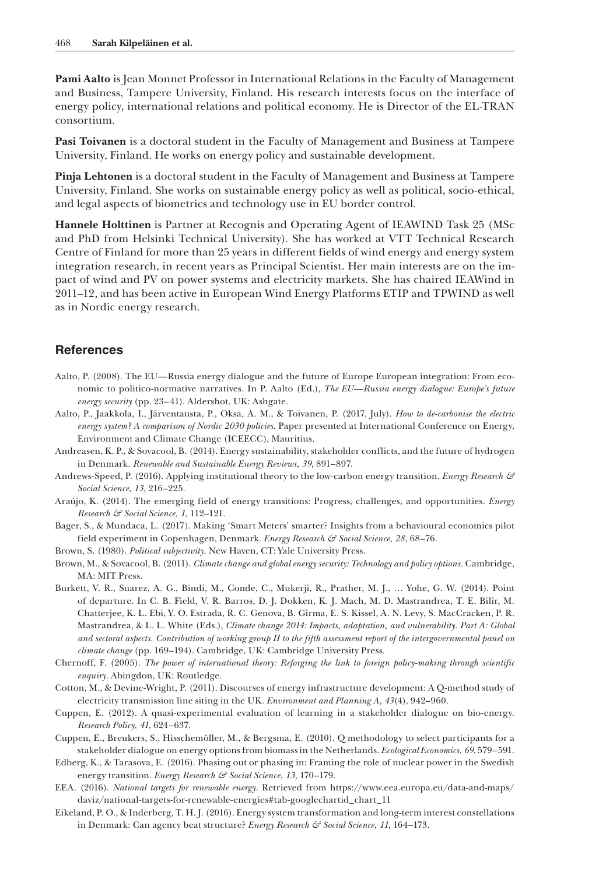**Pami Aalto** is Jean Monnet Professor in International Relations in the Faculty of Management and Business, Tampere University, Finland. His research interests focus on the interface of energy policy, international relations and political economy. He is Director of the EL-TRAN consortium.

**Pasi Toivanen** is a doctoral student in the Faculty of Management and Business at Tampere University, Finland. He works on energy policy and sustainable development.

**Pinja Lehtonen** is a doctoral student in the Faculty of Management and Business at Tampere University, Finland. She works on sustainable energy policy as well as political, socio-ethical, and legal aspects of biometrics and technology use in EU border control.

**Hannele Holttinen** is Partner at Recognis and Operating Agent of IEAWIND Task 25 (MSc and PhD from Helsinki Technical University). She has worked at VTT Technical Research Centre of Finland for more than 25 years in different fields of wind energy and energy system integration research, in recent years as Principal Scientist. Her main interests are on the impact of wind and PV on power systems and electricity markets. She has chaired IEAWind in 2011–12, and has been active in European Wind Energy Platforms ETIP and TPWIND as well as in Nordic energy research.

# **References**

- Aalto, P. (2008). The EU—Russia energy dialogue and the future of Europe European integration: From economic to politico-normative narratives. In P. Aalto (Ed.), *The EU—Russia energy dialogue: Europe's future energy security* (pp. 23–41). Aldershot, UK: Ashgate.
- Aalto, P., Jaakkola, I., Järventausta, P., Oksa, A. M., & Toivanen, P. (2017, July). *How to de-carbonise the electric energy system? A comparison of Nordic 2030 policies*. Paper presented at International Conference on Energy, Environment and Climate Change (ICEECC), Mauritius.
- Andreasen, K. P., & Sovacool, B. (2014). Energy sustainability, stakeholder conflicts, and the future of hydrogen in Denmark. *Renewable and Sustainable Energy Reviews*, *39*, 891–897.
- Andrews-Speed, P. (2016). Applying institutional theory to the low-carbon energy transition. *Energy Research & Social Science*, *13*, 216–225.
- Araújo, K. (2014). The emerging field of energy transitions: Progress, challenges, and opportunities. *Energy Research & Social Science*, *1*, 112–121.
- Bager, S., & Mundaca, L. (2017). Making 'Smart Meters' smarter? Insights from a behavioural economics pilot field experiment in Copenhagen, Denmark. *Energy Research & Social Science*, *28*, 68–76.
- Brown, S. (1980). *Political subjectivity*. New Haven, CT: Yale University Press.
- Brown, M., & Sovacool, B. (2011). *Climate change and global energy security: Technology and policy options*. Cambridge, MA: MIT Press.
- Burkett, V. R., Suarez, A. G., Bindi, M., Conde, C., Mukerji, R., Prather, M. J., … Yohe, G. W. (2014). Point of departure. In C. B. Field, V. R. Barros, D. J. Dokken, K. J. Mach, M. D. Mastrandrea, T. E. Bilir, M. Chatterjee, K. L. Ebi, Y. O. Estrada, R. C. Genova, B. Girma, E. S. Kissel, A. N. Levy, S. MacCracken, P. R. Mastrandrea, & L. L. White (Eds.), *Climate change 2014: Impacts, adaptation, and vulnerability. Part A: Global and sectoral aspects. Contribution of working group II to the fifth assessment report of the intergovernmental panel on climate change* (pp. 169–194). Cambridge, UK: Cambridge University Press.
- Chernoff, F. (2005). *The power of international theory: Reforging the link to foreign policy-making through scientific enquiry*. Abingdon, UK: Routledge.
- Cotton, M., & Devine-Wright, P. (2011). Discourses of energy infrastructure development: A Q-method study of electricity transmission line siting in the UK. *Environment and Planning A*, *43*(4), 942–960.
- Cuppen, E. (2012). A quasi-experimental evaluation of learning in a stakeholder dialogue on bio-energy. *Research Policy*, *41*, 624–637.
- Cuppen, E., Breukers, S., Hisschemöller, M., & Bergsma, E. (2010). Q methodology to select participants for a stakeholder dialogue on energy options from biomass in the Netherlands. *Ecological Economics*, *69*, 579–591.
- Edberg, K., & Tarasova, E. (2016). Phasing out or phasing in: Framing the role of nuclear power in the Swedish energy transition. *Energy Research & Social Science*, *13*, 170–179.
- EEA. (2016). *National targets for renewable energy*. Retrieved from [https://www.eea.europa.eu/data-and-maps/](https://www.eea.europa.eu/data-and-maps/daviz/national-targets-for-renewable-energies#tab-googlechartid_chart_11) [daviz/national-targets-for-renewable-energies#tab-googlechartid\\_chart\\_11](https://www.eea.europa.eu/data-and-maps/daviz/national-targets-for-renewable-energies#tab-googlechartid_chart_11)
- Eikeland, P. O., & Inderberg, T. H. J. (2016). Energy system transformation and long-term interest constellations in Denmark: Can agency beat structure? *Energy Research & Social Science*, *11*, 164–173.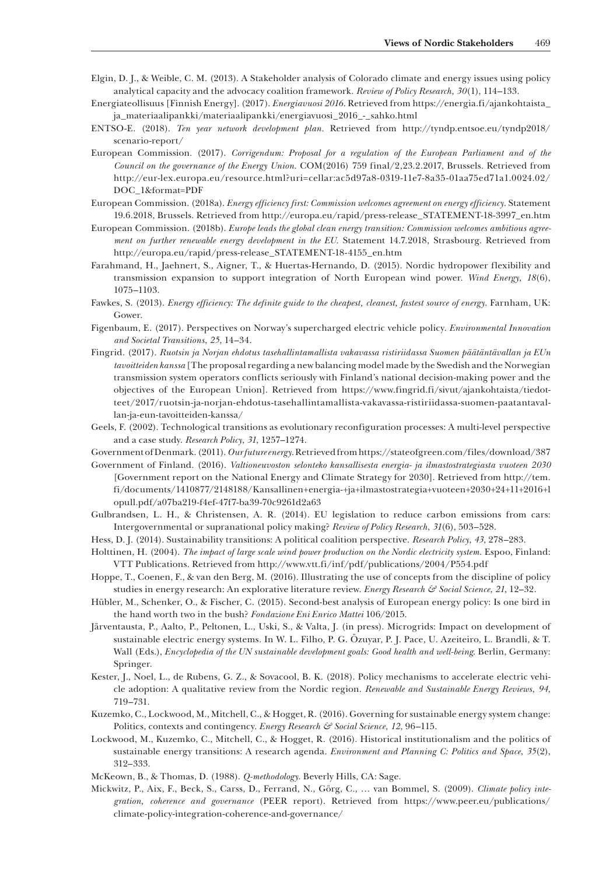- Elgin, D. J., & Weible, C. M. (2013). A Stakeholder analysis of Colorado climate and energy issues using policy analytical capacity and the advocacy coalition framework. *Review of Policy Research*, *30*(1), 114–133.
- Energiateollisuus [Finnish Energy]. (2017). *Energiavuosi 2016*. Retrieved from [https://energia.fi/ajankohtaista\\_](https://energia.fi/ajankohtaista_ja_materiaalipankki/materiaalipankki/energiavuosi_2016_-_sahko.html) [ja\\_materiaalipankki/materiaalipankki/energiavuosi\\_2016\\_-\\_sahko.html](https://energia.fi/ajankohtaista_ja_materiaalipankki/materiaalipankki/energiavuosi_2016_-_sahko.html)
- ENTSO-E. (2018). *Ten year network development plan*. Retrieved from [http://tyndp.entsoe.eu/tyndp2018/](http://tyndp.entsoe.eu/tyndp2018/scenario-report/) [scenario-report/](http://tyndp.entsoe.eu/tyndp2018/scenario-report/)
- European Commission. (2017). *Corrigendum: Proposal for a regulation of the European Parliament and of the Council on the governance of the Energy Union*. COM(2016) 759 final/2,23.2.2017, Brussels. Retrieved from [http://eur-lex.europa.eu/resource.html?uri=cellar:ac5d97a8-0319-11e7-8a35-01aa75ed71a1.0024.02/](http://eur-lex.europa.eu/resource.html?uri=cellar:ac5d97a8-0319-11e7-8a35-01aa75ed71a1.0024.02/DOC_1&format=PDF) [DOC\\_1&format=PDF](http://eur-lex.europa.eu/resource.html?uri=cellar:ac5d97a8-0319-11e7-8a35-01aa75ed71a1.0024.02/DOC_1&format=PDF)
- European Commission. (2018a). *Energy efficiency first: Commission welcomes agreement on energy efficiency*. Statement 19.6.2018, Brussels. Retrieved from [http://europa.eu/rapid/press-release\\_STATEMENT-18-3997\\_en.htm](http://europa.eu/rapid/press-release_STATEMENT-18-3997_en.htm)
- European Commission. (2018b). *Europe leads the global clean energy transition: Commission welcomes ambitious agreement on further renewable energy development in the EU*. Statement 14.7.2018, Strasbourg. Retrieved from [http://europa.eu/rapid/press-release\\_STATEMENT-18-4155\\_en.htm](http://europa.eu/rapid/press-release_STATEMENT-18-4155_en.htm)
- Farahmand, H., Jaehnert, S., Aigner, T., & Huertas-Hernando, D. (2015). Nordic hydropower flexibility and transmission expansion to support integration of North European wind power. *Wind Energy*, *18*(6), 1075–1103.
- Fawkes, S. (2013). *Energy efficiency: The definite guide to the cheapest, cleanest, fastest source of energy*. Farnham, UK: Gower.
- Figenbaum, E. (2017). Perspectives on Norway's supercharged electric vehicle policy. *Environmental Innovation and Societal Transitions*, *25*, 14–34.
- Fingrid. (2017). *Ruotsin ja Norjan ehdotus tasehallintamallista vakavassa ristiriidassa Suomen päätäntävallan ja EUn tavoitteiden kanssa* [The proposal regarding a new balancing model made by the Swedish and the Norwegian transmission system operators conflicts seriously with Finland's national decision-making power and the objectives of the European Union]. Retrieved from [https://www.fingrid.fi/sivut/ajankohtaista/tiedot](https://www.fingrid.fi/sivut/ajankohtaista/tiedotteet/2017/ruotsin-ja-norjan-ehdotus-tasehallintamallista-vakavassa-ristiriidassa-suomen-paatantavallan-ja-eun-tavoitteiden-kanssa/)[teet/2017/ruotsin-ja-norjan-ehdotus-tasehallintamallista-vakavassa-ristiriidassa-suomen-paatantaval](https://www.fingrid.fi/sivut/ajankohtaista/tiedotteet/2017/ruotsin-ja-norjan-ehdotus-tasehallintamallista-vakavassa-ristiriidassa-suomen-paatantavallan-ja-eun-tavoitteiden-kanssa/)[lan-ja-eun-tavoitteiden-kanssa/](https://www.fingrid.fi/sivut/ajankohtaista/tiedotteet/2017/ruotsin-ja-norjan-ehdotus-tasehallintamallista-vakavassa-ristiriidassa-suomen-paatantavallan-ja-eun-tavoitteiden-kanssa/)
- Geels, F. (2002). Technological transitions as evolutionary reconfiguration processes: A multi-level perspective and a case study. *Research Policy*, *31*, 1257–1274.
- Government of Denmark. (2011). *Our future energy*. Retrieved from<https://stateofgreen.com/files/download/387>
- Government of Finland. (2016). *Valtioneuvoston selonteko kansallisesta energia- ja ilmastostrategiasta vuoteen 2030* [Government report on the National Energy and Climate Strategy for 2030]. Retrieved from [http://tem.](http://tem.fi/documents/1410877/2148188/Kansallinen+energia-+ja+ilmastostrategia+vuoteen+2030+24+11+2016+lopull.pdf/a07ba219-f4ef-47f7-ba39-70c9261d2a63) [fi/documents/1410877/2148188/Kansallinen+energia-+ja+ilmastostrategia+vuoteen+2030+24+11+2016+l](http://tem.fi/documents/1410877/2148188/Kansallinen+energia-+ja+ilmastostrategia+vuoteen+2030+24+11+2016+lopull.pdf/a07ba219-f4ef-47f7-ba39-70c9261d2a63) [opull.pdf/a07ba219-f4ef-47f7-ba39-70c9261d2a63](http://tem.fi/documents/1410877/2148188/Kansallinen+energia-+ja+ilmastostrategia+vuoteen+2030+24+11+2016+lopull.pdf/a07ba219-f4ef-47f7-ba39-70c9261d2a63)
- Gulbrandsen, L. H., & Christensen, A. R. (2014). EU legislation to reduce carbon emissions from cars: Intergovernmental or supranational policy making? *Review of Policy Research*, *31*(6), 503–528.
- Hess, D. J. (2014). Sustainability transitions: A political coalition perspective. *Research Policy*, *43*, 278–283.
- Holttinen, H. (2004). *The impact of large scale wind power production on the Nordic electricity system*. Espoo, Finland: VTT Publications. Retrieved from <http://www.vtt.fi/inf/pdf/publications/2004/P554.pdf>
- Hoppe, T., Coenen, F., & van den Berg, M. (2016). Illustrating the use of concepts from the discipline of policy studies in energy research: An explorative literature review. *Energy Research & Social Science*, *21*, 12–32.
- Hübler, M., Schenker, O., & Fischer, C. (2015). Second-best analysis of European energy policy: Is one bird in the hand worth two in the bush? *Fondazione Eni Enrico Mattei* 106/2015.
- Järventausta, P., Aalto, P., Peltonen, L., Uski, S., & Valta, J. (in press). Microgrids: Impact on development of sustainable electric energy systems. In W. L. Filho, P. G. Özuyar, P. J. Pace, U. Azeiteiro, L. Brandli, & T. Wall (Eds.), *Encyclopedia of the UN sustainable development goals: Good health and well-being*. Berlin, Germany: Springer.
- Kester, J., Noel, L., de Rubens, G. Z., & Sovacool, B. K. (2018). Policy mechanisms to accelerate electric vehicle adoption: A qualitative review from the Nordic region. *Renewable and Sustainable Energy Reviews*, *94*, 719–731.
- Kuzemko, C., Lockwood, M., Mitchell, C., & Hogget, R. (2016). Governing for sustainable energy system change: Politics, contexts and contingency. *Energy Research & Social Science*, *12*, 96–115.
- Lockwood, M., Kuzemko, C., Mitchell, C., & Hogget, R. (2016). Historical institutionalism and the politics of sustainable energy transitions: A research agenda. *Environment and Planning C: Politics and Space*, *35*(2), 312–333.
- McKeown, B., & Thomas, D. (1988). *Q-methodology*. Beverly Hills, CA: Sage.
- Mickwitz, P., Aix, F., Beck, S., Carss, D., Ferrand, N., Görg, C., … van Bommel, S. (2009). *Climate policy integration, coherence and governance* (PEER report). Retrieved from [https://www.peer.eu/publications/](https://www.peer.eu/publications/climate-policy-integration-coherence-and-governance/) [climate-policy-integration-coherence-and-governance/](https://www.peer.eu/publications/climate-policy-integration-coherence-and-governance/)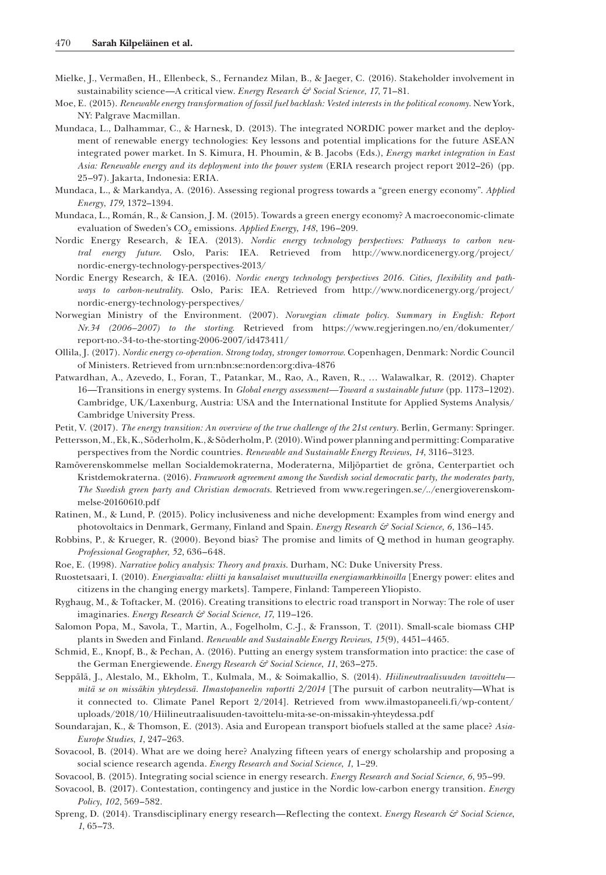- Mielke, J., Vermaßen, H., Ellenbeck, S., Fernandez Milan, B., & Jaeger, C. (2016). Stakeholder involvement in sustainability science—A critical view. *Energy Research & Social Science*, *17*, 71–81.
- Moe, E. (2015). *Renewable energy transformation of fossil fuel backlash: Vested interests in the political economy*. New York, NY: Palgrave Macmillan.
- Mundaca, L., Dalhammar, C., & Harnesk, D. (2013). The integrated NORDIC power market and the deployment of renewable energy technologies: Key lessons and potential implications for the future ASEAN integrated power market. In S. Kimura, H. Phoumin, & B. Jacobs (Eds.), *Energy market integration in East Asia: Renewable energy and its deployment into the power system* (ERIA research project report 2012–26) (pp. 25–97). Jakarta, Indonesia: ERIA.
- Mundaca, L., & Markandya, A. (2016). Assessing regional progress towards a "green energy economy". *Applied Energy*, *179*, 1372–1394.
- Mundaca, L., Román, R., & Cansion, J. M. (2015). Towards a green energy economy? A macroeconomic-climate evaluation of Sweden's CO<sub>2</sub> emissions. *Applied Energy*, 148, 196-209.
- Nordic Energy Research, & IEA. (2013). *Nordic energy technology perspectives: Pathways to carbon neutral energy future*. Oslo, Paris: IEA. Retrieved from [http://www.nordicenergy.org/project/](http://www.nordicenergy.org/project/nordic-energy-technology-perspectives-2013/) [nordic-energy-technology-perspectives-2013/](http://www.nordicenergy.org/project/nordic-energy-technology-perspectives-2013/)
- Nordic Energy Research, & IEA. (2016). *Nordic energy technology perspectives 2016. Cities, flexibility and pathways to carbon-neutrality*. Oslo, Paris: IEA. Retrieved from [http://www.nordicenergy.org/project/](http://www.nordicenergy.org/project/nordic-energy-technology-perspectives/) [nordic-energy-technology-perspectives/](http://www.nordicenergy.org/project/nordic-energy-technology-perspectives/)
- Norwegian Ministry of the Environment. (2007). *Norwegian climate policy. Summary in English: Report Nr.34 (2006–2007) to the storting*. Retrieved from [https://www.regjeringen.no/en/dokumenter/](https://www.regjeringen.no/en/dokumenter/report-no.-34-to-the-storting-2006-2007/id473411/) [report-no.-34-to-the-storting-2006-2007/id473411/](https://www.regjeringen.no/en/dokumenter/report-no.-34-to-the-storting-2006-2007/id473411/)
- Ollila, J. (2017). *Nordic energy co-operation. Strong today, stronger tomorrow*. Copenhagen, Denmark: Nordic Council of Ministers. Retrieved from [urn:nbn:se:norden:org:diva-4876](http://urn:nbn:se:norden:org:diva-4876)
- Patwardhan, A., Azevedo, I., Foran, T., Patankar, M., Rao, A., Raven, R., … Walawalkar, R. (2012). Chapter 16—Transitions in energy systems. In *Global energy assessment—Toward a sustainable future* (pp. 1173–1202). Cambridge, UK/Laxenburg, Austria: USA and the International Institute for Applied Systems Analysis/ Cambridge University Press.
- Petit, V. (2017). *The energy transition: An overview of the true challenge of the 21st century*. Berlin, Germany: Springer.
- Pettersson, M., Ek, K., Söderholm, K., & Söderholm, P. (2010). Wind power planning and permitting: Comparative perspectives from the Nordic countries. *Renewable and Sustainable Energy Reviews*, *14*, 3116–3123.
- Ramöverenskommelse mellan Socialdemokraterna, Moderaterna, Miljöpartiet de gröna, Centerpartiet och Kristdemokraterna. (2016). *Framework agreement among the Swedish social democratic party, the moderates party, The Swedish green party and Christian democrats*. Retrieved from [www.regeringen.se/../energioverenskom](www.regeringen.se/../energioverenskommelse-20160610.pdf)[melse-20160610.pdf](www.regeringen.se/../energioverenskommelse-20160610.pdf)
- Ratinen, M., & Lund, P. (2015). Policy inclusiveness and niche development: Examples from wind energy and photovoltaics in Denmark, Germany, Finland and Spain. *Energy Research & Social Science*, *6*, 136–145.
- Robbins, P., & Krueger, R. (2000). Beyond bias? The promise and limits of Q method in human geography. *Professional Geographer*, *52*, 636–648.
- Roe, E. (1998). *Narrative policy analysis: Theory and praxis*. Durham, NC: Duke University Press.
- Ruostetsaari, I. (2010). *Energiavalta: eliitti ja kansalaiset muuttuvilla energiamarkkinoilla* [Energy power: elites and citizens in the changing energy markets]. Tampere, Finland: Tampereen Yliopisto.
- Ryghaug, M., & Toftacker, M. (2016). Creating transitions to electric road transport in Norway: The role of user imaginaries. *Energy Research & Social Science*, *17*, 119–126.
- Salomon Popa, M., Savola, T., Martin, A., Fogelholm, C.-J., & Fransson, T. (2011). Small-scale biomass CHP plants in Sweden and Finland. *Renewable and Sustainable Energy Reviews*, *15*(9), 4451–4465.
- Schmid, E., Knopf, B., & Pechan, A. (2016). Putting an energy system transformation into practice: the case of the German Energiewende. *Energy Research & Social Science*, *11*, 263–275.
- Seppälä, J., Alestalo, M., Ekholm, T., Kulmala, M., & Soimakallio, S. (2014). *Hiilineutraalisuuden tavoittelu mitä se on missäkin yhteydessä. Ilmastopaneelin raportti 2/2014* [The pursuit of carbon neutrality—What is it connected to. Climate Panel Report 2/2014]. Retrieved from [www.ilmastopaneeli.fi/wp-content/](http://www.ilmastopaneeli.fi/wp-content/uploads/2018/10/Hiilineutraalisuuden-tavoittelu-mita-se-on-missakin-yhteydessa.pdf) [uploads/2018/10/Hiilineutraalisuuden-tavoittelu-mita-se-on-missakin-yhteydessa.pdf](http://www.ilmastopaneeli.fi/wp-content/uploads/2018/10/Hiilineutraalisuuden-tavoittelu-mita-se-on-missakin-yhteydessa.pdf)
- Soundarajan, K., & Thomson, E. (2013). Asia and European transport biofuels stalled at the same place? *Asia-Europe Studies*, *1*, 247–263.
- Sovacool, B. (2014). What are we doing here? Analyzing fifteen years of energy scholarship and proposing a social science research agenda. *Energy Research and Social Science*, *1*, 1–29.
- Sovacool, B. (2015). Integrating social science in energy research. *Energy Research and Social Science*, *6*, 95–99.
- Sovacool, B. (2017). Contestation, contingency and justice in the Nordic low-carbon energy transition. *Energy Policy*, *102*, 569–582.
- Spreng, D. (2014). Transdisciplinary energy research—Reflecting the context. *Energy Research & Social Science*, *1*, 65–73.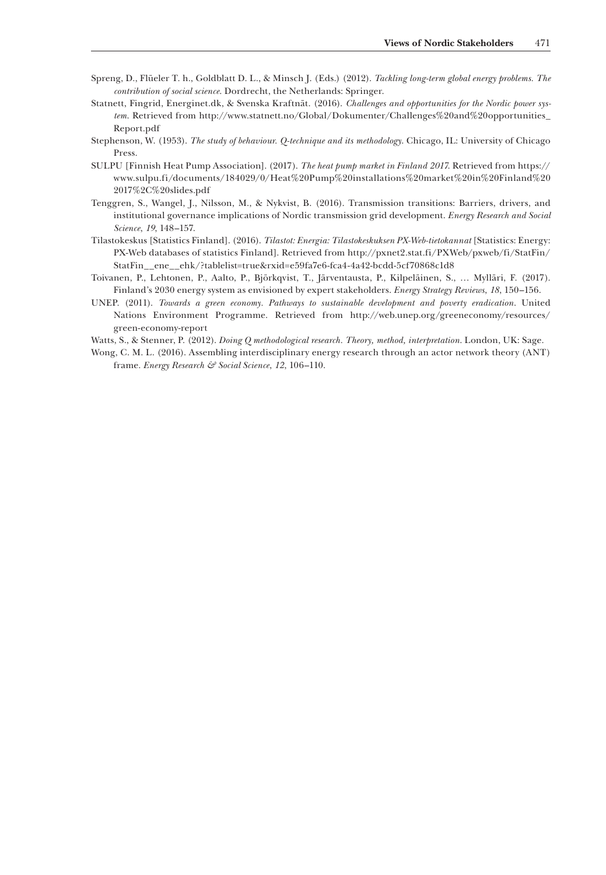- Spreng, D., Flüeler T. h., Goldblatt D. L., & Minsch J. (Eds.) (2012). *Tackling long-term global energy problems. The contribution of social science*. Dordrecht, the Netherlands: Springer.
- Statnett, Fingrid, Energinet.dk, & Svenska Kraftnät. (2016). *Challenges and opportunities for the Nordic power system*. Retrieved from [http://www.statnett.no/Global/Dokumenter/Challenges%20and%20opportunities\\_](http://www.statnett.no/Global/Dokumenter/Challenges and opportunities_Report.pdf) [Report.pdf](http://www.statnett.no/Global/Dokumenter/Challenges and opportunities_Report.pdf)
- Stephenson, W. (1953). *The study of behaviour. Q-technique and its methodology*. Chicago, IL: University of Chicago Press.
- SULPU [Finnish Heat Pump Association]. (2017). *The heat pump market in Finland 2017*. Retrieved from [https://](https://www.sulpu.fi/documents/184029/0/Heat Pump installations market in Finland 2017%2C slides.pdf) [www.sulpu.fi/documents/184029/0/Heat%20Pump%20installations%20market%20in%20Finland%20](https://www.sulpu.fi/documents/184029/0/Heat Pump installations market in Finland 2017%2C slides.pdf) [2017%2C%20slides.pdf](https://www.sulpu.fi/documents/184029/0/Heat Pump installations market in Finland 2017%2C slides.pdf)
- Tenggren, S., Wangel, J., Nilsson, M., & Nykvist, B. (2016). Transmission transitions: Barriers, drivers, and institutional governance implications of Nordic transmission grid development. *Energy Research and Social Science*, *19*, 148–157.
- Tilastokeskus [Statistics Finland]. (2016). *Tilastot: Energia: Tilastokeskuksen PX-Web-tietokannat* [Statistics: Energy: PX-Web databases of statistics Finland]. Retrieved from [http://pxnet2.stat.fi/PXWeb/pxweb/fi/StatFin/](http://pxnet2.stat.fi/PXWeb/pxweb/fi/StatFin/StatFin__ene__ehk/?tablelist=true&rxid=e59fa7e6-fca4-4a42-bcdd-5cf70868c1d8) [StatFin\\_\\_ene\\_\\_ehk/?tablelist=true&rxid=e59fa7e6-fca4-4a42-bcdd-5cf70868c1d8](http://pxnet2.stat.fi/PXWeb/pxweb/fi/StatFin/StatFin__ene__ehk/?tablelist=true&rxid=e59fa7e6-fca4-4a42-bcdd-5cf70868c1d8)
- Toivanen, P., Lehtonen, P., Aalto, P., Björkqvist, T., Järventausta, P., Kilpeläinen, S., … Mylläri, F. (2017). Finland's 2030 energy system as envisioned by expert stakeholders. *Energy Strategy Reviews*, *18*, 150–156.
- UNEP. (2011). *Towards a green economy. Pathways to sustainable development and poverty eradication*. United Nations Environment Programme. Retrieved from [http://web.unep.org/greeneconomy/resources/](http://web.unep.org/greeneconomy/resources/green-economy-report) [green-economy-report](http://web.unep.org/greeneconomy/resources/green-economy-report)

Watts, S., & Stenner, P. (2012). *Doing Q methodological research. Theory, method, interpretation*. London, UK: Sage.

Wong, C. M. L. (2016). Assembling interdisciplinary energy research through an actor network theory (ANT) frame. *Energy Research & Social Science*, *12*, 106–110.